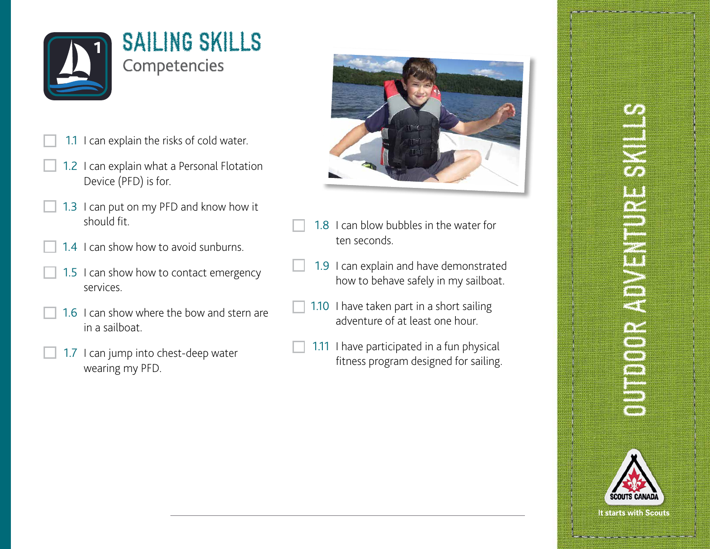

- 1.1 I can explain the risks of cold water.
- 1.2 I can explain what a Personal Flotation Device (PFD) is for.
- 1.3 I can put on my PFD and know how it should fit.
- 1.4 I can show how to avoid sunburns.
- 1.5 I can show how to contact emergency services.
- 1.6 I can show where the bow and stern are in a sailboat.
- 1.7 I can jump into chest-deep water wearing my PFD.



- 1.8 I can blow bubbles in the water for ten seconds.
- 1.9 I can explain and have demonstrated how to behave safely in my sailboat.
- 1.10 I have taken part in a short sailing adventure of at least one hour.
- 1.11 I have participated in a fun physical fitness program designed for sailing.

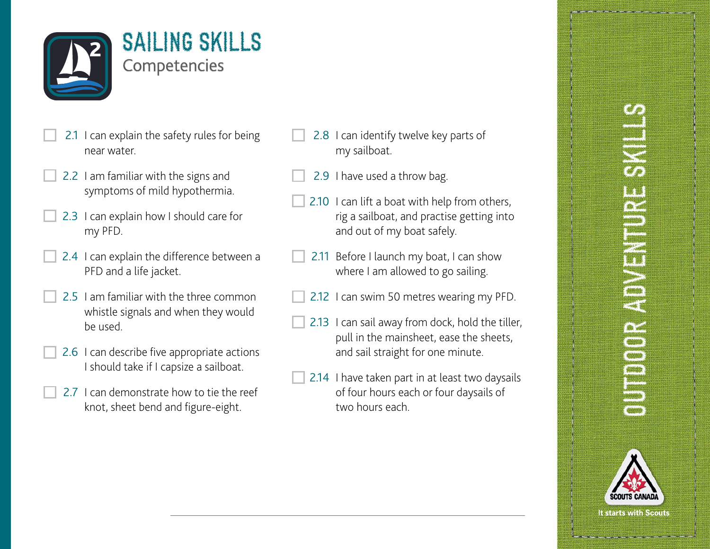

- 2.1 I can explain the safety rules for being near water.
- 2.2 I am familiar with the signs and symptoms of mild hypothermia.
- 2.3 I can explain how I should care for my PFD.
- 2.4 I can explain the difference between a PFD and a life jacket.
- 2.5 I am familiar with the three common whistle signals and when they would be used.
- 2.6 I can describe five appropriate actions I should take if I capsize a sailboat.
- 2.7 L can demonstrate how to tie the reef knot, sheet bend and figure-eight.
- 2.8 I can identify twelve key parts of my sailboat.
- 2.9 I have used a throw bag.
- 2.10 I can lift a boat with help from others, rig a sailboat, and practise getting into and out of my boat safely.
- 2.11 Before I launch my boat, I can show where I am allowed to go sailing.
- 2.12 I can swim 50 metres wearing my PFD.
- 2.13 I can sail away from dock, hold the tiller, pull in the mainsheet, ease the sheets, and sail straight for one minute.
- 2.14 I have taken part in at least two daysails of four hours each or four daysails of two hours each.

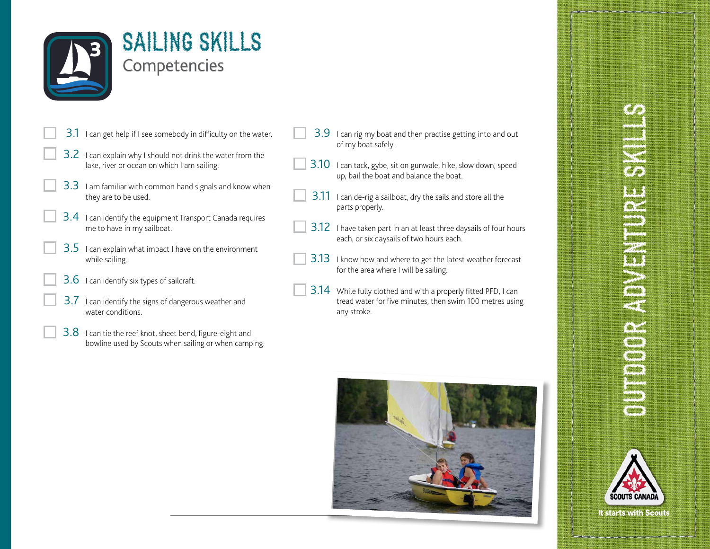

- 3.1 I can get help if I see somebody in difficulty on the water.
- 3.2 I can explain why I should not drink the water from the lake, river or ocean on which I am sailing.
- 3.3 I am familiar with common hand signals and know when they are to be used.
- 3.4 I can identify the equipment Transport Canada requires me to have in my sailboat.
- $3.5$  I can explain what impact I have on the environment while sailing.
- $3.6$  I can identify six types of sailcraft.
- 3.7 I can identify the signs of dangerous weather and water conditions.
- 3.8 I can tie the reef knot, sheet bend, figure-eight and bowline used by Scouts when sailing or when camping.
- 3.9 I can rig my boat and then practise getting into and out of my boat safely.
- 3.10 I can tack, gybe, sit on gunwale, hike, slow down, speed up, bail the boat and balance the boat.
- 3.11 I can de-rig a sailboat, dry the sails and store all the parts properly.
- 3.12 I have taken part in an at least three daysails of four hours each, or six daysails of two hours each.
- 3.13 I know how and where to get the latest weather forecast for the area where I will be sailing.
- 3.14 While fully clothed and with a properly fitted PFD, I can tread water for five minutes, then swim 100 metres using any stroke.



# **UNDERLANDER** OUTDOOR ADVENTURE S

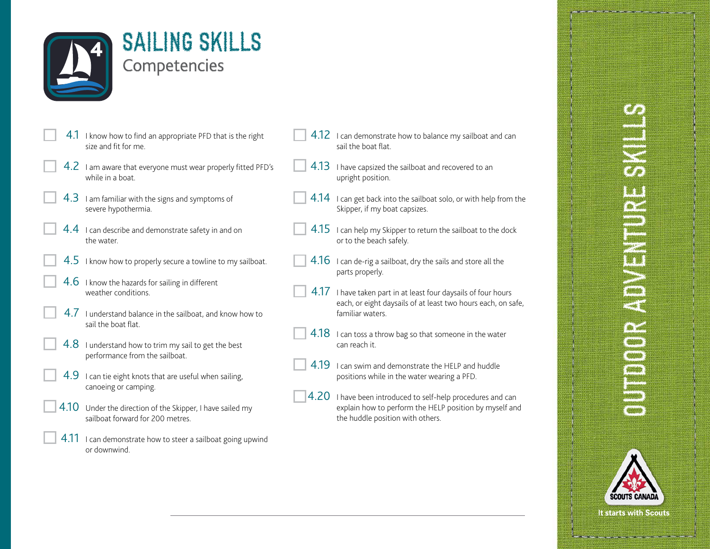

SAILING SKILLS **Competencies** 

- 4.1 I know how to find an appropriate PFD that is the right size and fit for me.
- 4.2 I am aware that everyone must wear properly fitted PFD's while in a boat.
- $4.3$  I am familiar with the signs and symptoms of severe hypothermia.
- $4.4$  I can describe and demonstrate safety in and on the water.
- $4.5$  I know how to properly secure a towline to my sailboat.
- $4.6$  I know the hazards for sailing in different weather conditions.
- 4.7 I understand balance in the sailboat, and know how to sail the boat flat.
- $4.8$  I understand how to trim my sail to get the best performance from the sailboat.
- $4.9$  I can tie eight knots that are useful when sailing, canoeing or camping.
- 4.10 Under the direction of the Skipper, I have sailed my sailboat forward for 200 metres.
- 4.11 I can demonstrate how to steer a sailboat going upwind or downwind.
- 4.12 I can demonstrate how to balance my sailboat and can sail the boat flat.
- 4.13 I have capsized the sailboat and recovered to an upright position.
- 4.14 I can get back into the sailboat solo, or with help from the Skipper, if my boat capsizes.
- $4.15$  I can help my Skipper to return the sailboat to the dock or to the beach safely.
- $4.16$  I can de-rig a sailboat, dry the sails and store all the parts properly.
- 4.17 I have taken part in at least four daysails of four hours each, or eight daysails of at least two hours each, on safe, familiar waters.
- $4.18$  I can toss a throw bag so that someone in the water can reach it.
- 4.19 I can swim and demonstrate the HELP and huddle positions while in the water wearing a PFD.
- $|4.20|$  I have been introduced to self-help procedures and can explain how to perform the HELP position by myself and the huddle position with others.



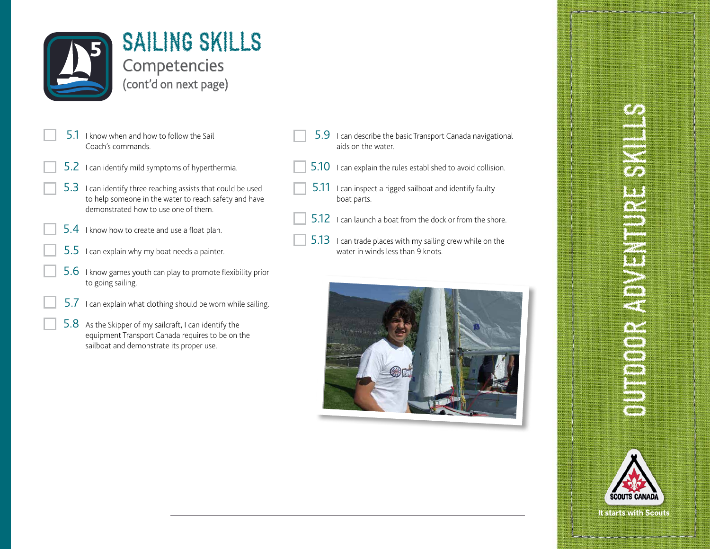

- 5.1 I know when and how to follow the Sail Coach's commands.
- 5.2 I can identify mild symptoms of hyperthermia.
- 5.3 I can identify three reaching assists that could be used to help someone in the water to reach safety and have demonstrated how to use one of them.
- 5.4 I know how to create and use a float plan.
- $5.5$  I can explain why my boat needs a painter.
- 5.6 I know games youth can play to promote flexibility prior to going sailing.
	- $5.7$  I can explain what clothing should be worn while sailing.
	- 5.8 As the Skipper of my sailcraft, I can identify the equipment Transport Canada requires to be on the sailboat and demonstrate its proper use.
- 5.9 I can describe the basic Transport Canada navigational aids on the water.
- 5.10 I can explain the rules established to avoid collision.
- $5.11$  I can inspect a rigged sailboat and identify faulty boat parts.
- 5.12 I can launch a boat from the dock or from the shore.
- 5.13 I can trade places with my sailing crew while on the water in winds less than 9 knots.



# **UNDERLANDER** OUTDOOR ADVENTURE S

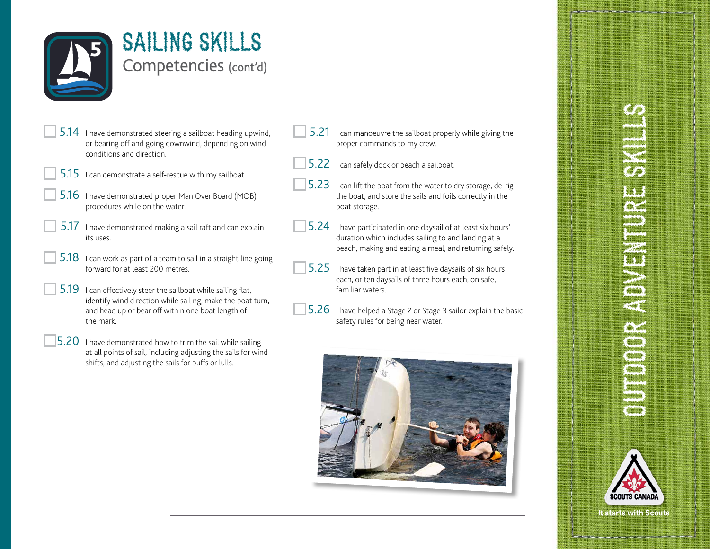

## SAILING SKILLS Competencies (cont'd)

- 5.14 I have demonstrated steering a sailboat heading upwind, or bearing off and going downwind, depending on wind conditions and direction.
- 5.15 I can demonstrate a self-rescue with my sailboat.
	- 5.16 I have demonstrated proper Man Over Board (MOB) procedures while on the water.
	- 5.17 I have demonstrated making a sail raft and can explain its uses.
- 5.18 I can work as part of a team to sail in a straight line going forward for at least 200 metres.
- 5.19 I can effectively steer the sailboat while sailing flat, identify wind direction while sailing, make the boat turn, and head up or bear off within one boat length of the mark.
- $|5.20$  I have demonstrated how to trim the sail while sailing at all points of sail, including adjusting the sails for wind shifts, and adjusting the sails for puffs or lulls.
- 5.21 I can manoeuvre the sailboat properly while giving the proper commands to my crew.
- 5.22 I can safely dock or beach a sailboat.
- $|5.23|$  I can lift the boat from the water to dry storage, de-rig the boat, and store the sails and foils correctly in the boat storage.
- 5.24 I have participated in one daysail of at least six hours' duration which includes sailing to and landing at a beach, making and eating a meal, and returning safely.
- 5.25 I have taken part in at least five daysails of six hours each, or ten daysails of three hours each, on safe, familiar waters.
- 5.26 I have helped a Stage 2 or Stage 3 sailor explain the basic safety rules for being near water.



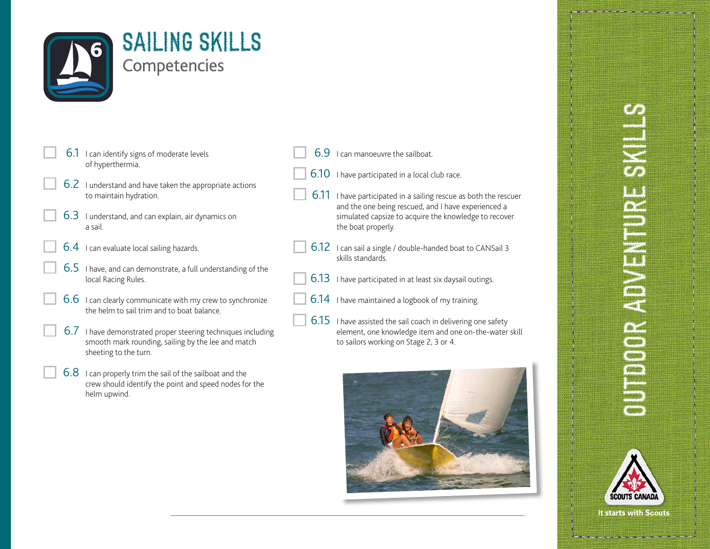

| $6.1$ I can identify signs of moderate levels |
|-----------------------------------------------|
| of hyperthermia.                              |

- 6.2 I understand and have taken the appropriate actions to maintain hydration.
- 6.3 I understand, and can explain, air dynamics on a sail.
- 6.4 I can evaluate local sailing hazards.
- 6.5 I have, and can demonstrate, a full understanding of the local Racing Rules.
	- 6.6 I can clearly communicate with my crew to synchronize the helm to sail trim and to boat balance.
	- 6.7 I have demonstrated proper steering techniques including smooth mark rounding, sailing by the lee and match sheeting to the turn.
	- 6.8 I can properly trim the sail of the sailboat and the crew should identify the point and speed nodes for the helm upwind.
- 6.9 I can manoeuvre the sailboat.
- 6.10 I have participated in a local club race.
- 6.11 I have participated in a sailing rescue as both the rescuer and the one being rescued, and I have experienced a simulated capsize to acquire the knowledge to recover the boat properly.
- 6.12 I can sail a single / double-handed boat to CANSail 3 skills standards.
- 6.13 I have participated in at least six daysail outings.
- 6.14 I have maintained a logbook of my training.
- 6.15 I have assisted the sail coach in delivering one safety element, one knowledge item and one on-the-water skill to sailors working on Stage 2, 3 or 4.



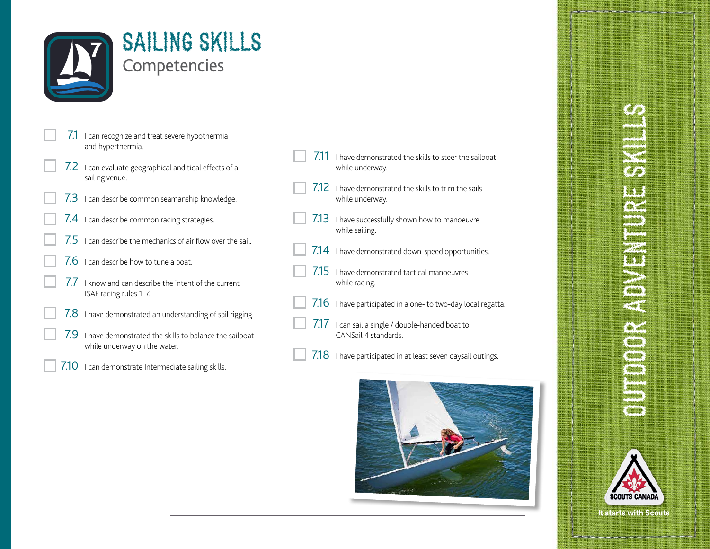

|  |  |  | SAILING SKILLS      |  |  |  |
|--|--|--|---------------------|--|--|--|
|  |  |  | <b>Competencies</b> |  |  |  |

- 7.1 I can recognize and treat severe hypothermia and hyperthermia.
- 7.2 I can evaluate geographical and tidal effects of a sailing venue.
- 7.3 I can describe common seamanship knowledge.
- 7.4 I can describe common racing strategies.
- 7.5 I can describe the mechanics of air flow over the sail.
- $7.6$  I can describe how to tune a boat.
- 7.7 I know and can describe the intent of the current ISAF racing rules 1–7.
- $7.8$  I have demonstrated an understanding of sail rigging.
- 7.9 I have demonstrated the skills to balance the sailboat while underway on the water.
- 7.10 I can demonstrate Intermediate sailing skills.
- 7.11 I have demonstrated the skills to steer the sailboat while underway.
- 7.12 I have demonstrated the skills to trim the sails while underway.
- 7.13 I have successfully shown how to manoeuvre while sailing.
- 7.14 I have demonstrated down-speed opportunities.
- 7.15 I have demonstrated tactical manoeuvres while racing.
- 7.16 I have participated in a one- to two-day local regatta.
- $7.17$  I can sail a single / double-handed boat to CANSail 4 standards.
- 7.18 I have participated in at least seven daysail outings.



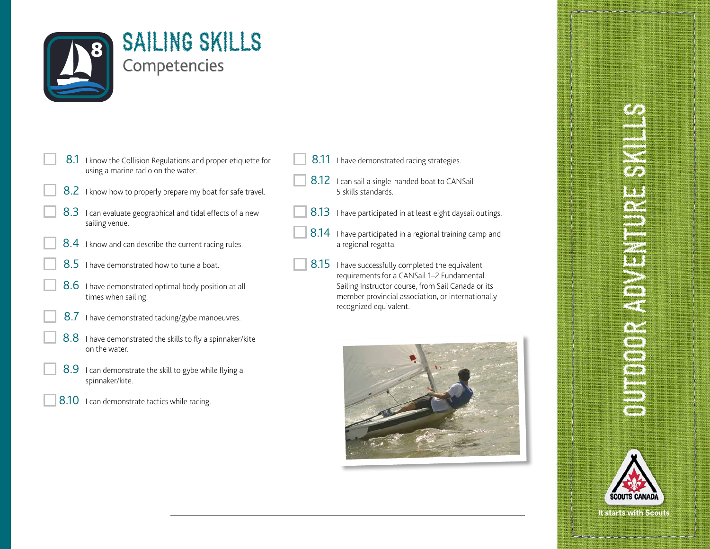

- 8.1 I know the Collision Regulations and proper etiquette for using a marine radio on the water.
- 8.2 I know how to properly prepare my boat for safe travel.
- 8.3 I can evaluate geographical and tidal effects of a new sailing venue.
- 8.4 I know and can describe the current racing rules.
- 8.5 I have demonstrated how to tune a boat.
- 8.6 I have demonstrated optimal body position at all times when sailing.
- 8.7 I have demonstrated tacking/gybe manoeuvres.
- 8.8 I have demonstrated the skills to fly a spinnaker/kite on the water.
- 8.9 I can demonstrate the skill to gybe while flying a spinnaker/kite.
- 8.10 I can demonstrate tactics while racing.
- 8.11 I have demonstrated racing strategies.
- 8.12 I can sail a single-handed boat to CANSail 5 skills standards.
- 8.13 I have participated in at least eight daysail outings.
- 8.14 I have participated in a regional training camp and a regional regatta.
- 8.15 I have successfully completed the equivalent requirements for a CANSail 1–2 Fundamental Sailing Instructor course, from Sail Canada or its member provincial association, or internationally recognized equivalent.



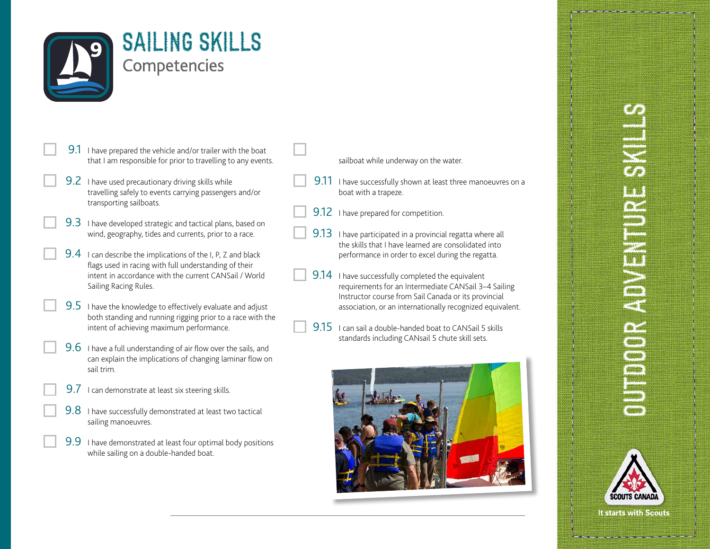

- 9.1 I have prepared the vehicle and/or trailer with the boat that I am responsible for prior to travelling to any events.
- 9.2 I have used precautionary driving skills while travelling safely to events carrying passengers and/or transporting sailboats.
- 9.3 I have developed strategic and tactical plans, based on wind, geography, tides and currents, prior to a race.
- 9.4 I can describe the implications of the I, P, Z and black flags used in racing with full understanding of their intent in accordance with the current CANSail / World Sailing Racing Rules.
- **9.5** I have the knowledge to effectively evaluate and adjust both standing and running rigging prior to a race with the intent of achieving maximum performance.
- 9.6 I have a full understanding of air flow over the sails, and can explain the implications of changing laminar flow on sail trim.
	- **9.7** I can demonstrate at least six steering skills.
	- 9.8 I have successfully demonstrated at least two tactical sailing manoeuvres.
- 9.9 I have demonstrated at least four optimal body positions while sailing on a double-handed boat.

#### sailboat while underway on the water.

- 9.11 I have successfully shown at least three manoeuvres on a boat with a trapeze.
- 9.12 I have prepared for competition.
- 9.13 I have participated in a provincial regatta where all the skills that I have learned are consolidated into performance in order to excel during the regatta.
- 9.14 I have successfully completed the equivalent requirements for an Intermediate CANSail 3–4 Sailing Instructor course from Sail Canada or its provincial association, or an internationally recognized equivalent.
- 9.15 I can sail a double-handed boat to CANSail 5 skills standards including CANsail 5 chute skill sets.



# **SERVENTERENTERENTER** OUTDOOR ADVENTURE S

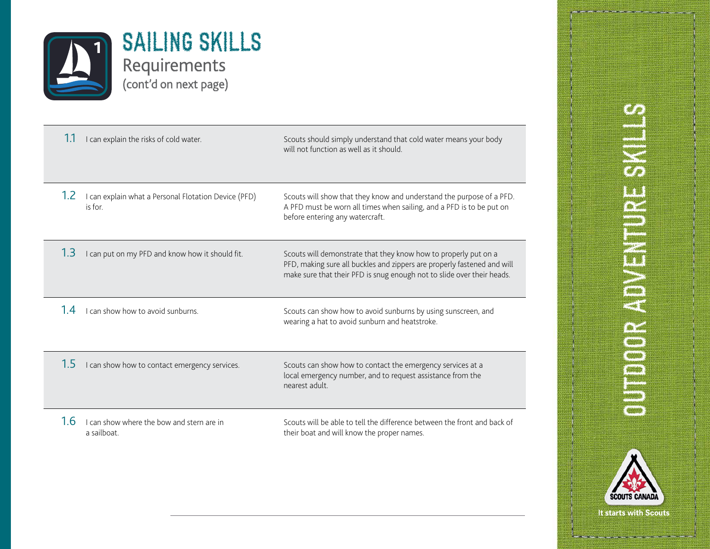

|     | I can explain the risks of cold water.                          | Scouts should simply understand that cold water means your body<br>will not function as well as it should.                                                                                                           |
|-----|-----------------------------------------------------------------|----------------------------------------------------------------------------------------------------------------------------------------------------------------------------------------------------------------------|
| 1.2 | I can explain what a Personal Flotation Device (PFD)<br>is for. | Scouts will show that they know and understand the purpose of a PFD.<br>A PFD must be worn all times when sailing, and a PFD is to be put on<br>before entering any watercraft.                                      |
| 1.3 | I can put on my PFD and know how it should fit.                 | Scouts will demonstrate that they know how to properly put on a<br>PFD, making sure all buckles and zippers are properly fastened and will<br>make sure that their PFD is snug enough not to slide over their heads. |
| 14  | I can show how to avoid sunburns.                               | Scouts can show how to avoid sunburns by using sunscreen, and<br>wearing a hat to avoid sunburn and heatstroke.                                                                                                      |
| 1.5 | I can show how to contact emergency services.                   | Scouts can show how to contact the emergency services at a<br>local emergency number, and to request assistance from the<br>nearest adult.                                                                           |
| 1.6 | I can show where the bow and stern are in<br>a sailboat.        | Scouts will be able to tell the difference between the front and back of<br>their boat and will know the proper names.                                                                                               |

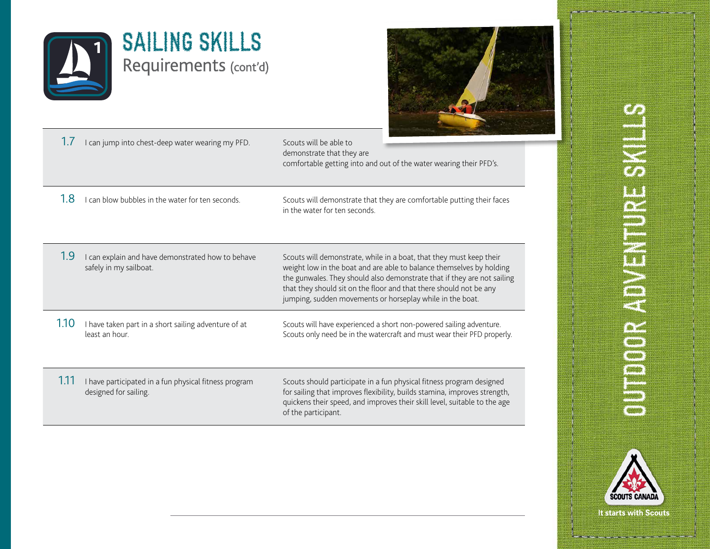



| I can jump into chest-deep water wearing my PFD. | Scouts will be able to                                             |
|--------------------------------------------------|--------------------------------------------------------------------|
|                                                  | demonstrate that they are                                          |
|                                                  | comfortable getting into and out of the water wearing their PFD's. |
|                                                  |                                                                    |

1.8 I can blow bubbles in the water for ten seconds. Scouts will demonstrate that they are comfortable putting their faces in the water for ten seconds.

1.9 I can explain and have demonstrated how to behave safely in my sailboat.

Scouts will demonstrate, while in a boat, that they must keep their weight low in the boat and are able to balance themselves by holding the gunwales. They should also demonstrate that if they are not sailing that they should sit on the floor and that there should not be any jumping, sudden movements or horseplay while in the boat.

1.10 I have taken part in a short sailing adventure of at least an hour. Scouts will have experienced a short non-powered sailing adventure. Scouts only need be in the watercraft and must wear their PFD properly.

1.11 I have participated in a fun physical fitness program designed for sailing.

Scouts should participate in a fun physical fitness program designed for sailing that improves flexibility, builds stamina, improves strength, quickens their speed, and improves their skill level, suitable to the age of the participant.

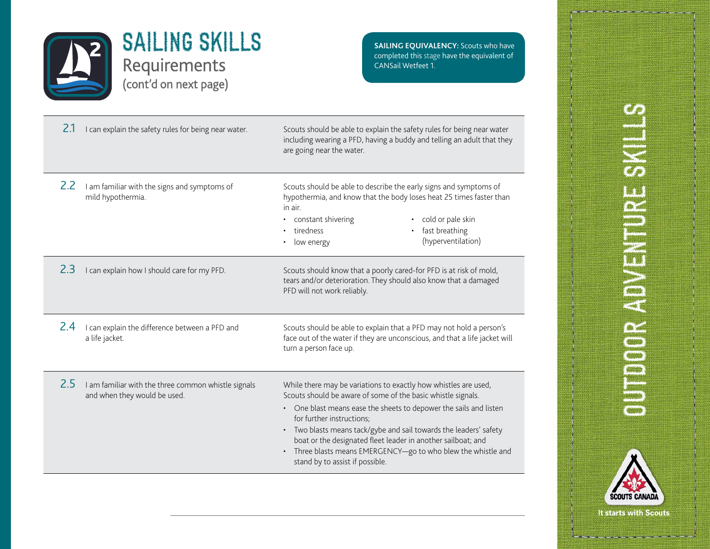

**SAILING EQUIVALENCY:** Scouts who have completed this stage have the equivalent of CANSail Wetfeet 1.

| 2.1 | I can explain the safety rules for being near water.                                | Scouts should be able to explain the safety rules for being near water<br>including wearing a PFD, having a buddy and telling an adult that they<br>are going near the water.                                                                                                                                                                                                                                                                                                       |
|-----|-------------------------------------------------------------------------------------|-------------------------------------------------------------------------------------------------------------------------------------------------------------------------------------------------------------------------------------------------------------------------------------------------------------------------------------------------------------------------------------------------------------------------------------------------------------------------------------|
| 2.2 | I am familiar with the signs and symptoms of<br>mild hypothermia.                   | Scouts should be able to describe the early signs and symptoms of<br>hypothermia, and know that the body loses heat 25 times faster than<br>in air.<br>cold or pale skin<br>constant shivering<br>$\bullet$<br>fast breathing<br>tiredness<br>(hyperventilation)<br>low energy                                                                                                                                                                                                      |
| 2.3 | I can explain how I should care for my PFD.                                         | Scouts should know that a poorly cared-for PFD is at risk of mold,<br>tears and/or deterioration. They should also know that a damaged<br>PFD will not work reliably.                                                                                                                                                                                                                                                                                                               |
| 2.4 | I can explain the difference between a PFD and<br>a life jacket.                    | Scouts should be able to explain that a PFD may not hold a person's<br>face out of the water if they are unconscious, and that a life jacket will<br>turn a person face up.                                                                                                                                                                                                                                                                                                         |
| 2.5 | I am familiar with the three common whistle signals<br>and when they would be used. | While there may be variations to exactly how whistles are used,<br>Scouts should be aware of some of the basic whistle signals.<br>One blast means ease the sheets to depower the sails and listen<br>for further instructions;<br>• Two blasts means tack/gybe and sail towards the leaders' safety<br>boat or the designated fleet leader in another sailboat; and<br>Three blasts means EMERGENCY-go to who blew the whistle and<br>$\bullet$<br>stand by to assist if possible. |

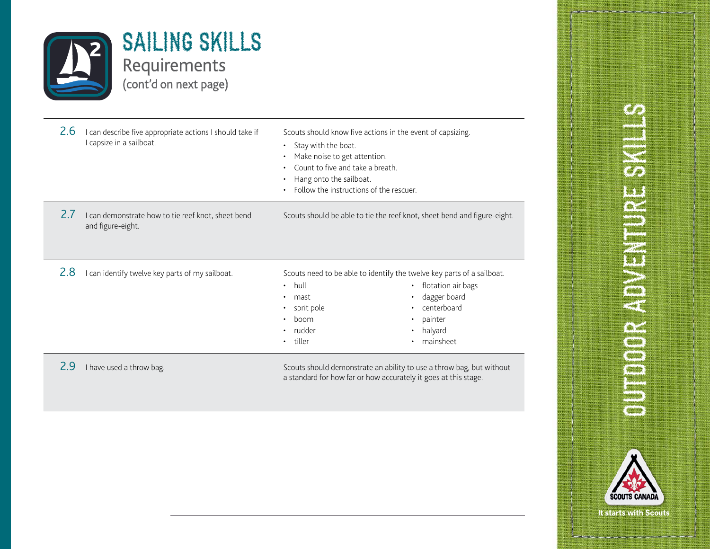

| 2.6 | can describe five appropriate actions I should take if<br>I capsize in a sailboat. | Scouts should know five actions in the event of capsizing.<br>Stay with the boat.<br>$\bullet$<br>Make noise to get attention.<br>Count to five and take a breath.<br>Hang onto the sailboat.<br>Follow the instructions of the rescuer. |                                                                                                                                                                             |
|-----|------------------------------------------------------------------------------------|------------------------------------------------------------------------------------------------------------------------------------------------------------------------------------------------------------------------------------------|-----------------------------------------------------------------------------------------------------------------------------------------------------------------------------|
| 2.1 | I can demonstrate how to tie reef knot, sheet bend<br>and figure-eight.            |                                                                                                                                                                                                                                          | Scouts should be able to tie the reef knot, sheet bend and figure-eight.                                                                                                    |
| 2.8 | can identify twelve key parts of my sailboat.                                      | hull<br>$\bullet$<br>mast<br>sprit pole<br>boom<br>rudder<br>tiller                                                                                                                                                                      | Scouts need to be able to identify the twelve key parts of a sailboat.<br>flotation air bags<br>$\bullet$<br>dagger board<br>centerboard<br>painter<br>halyard<br>mainsheet |
| 2.9 | I have used a throw bag.                                                           | a standard for how far or how accurately it goes at this stage.                                                                                                                                                                          | Scouts should demonstrate an ability to use a throw bag, but without                                                                                                        |

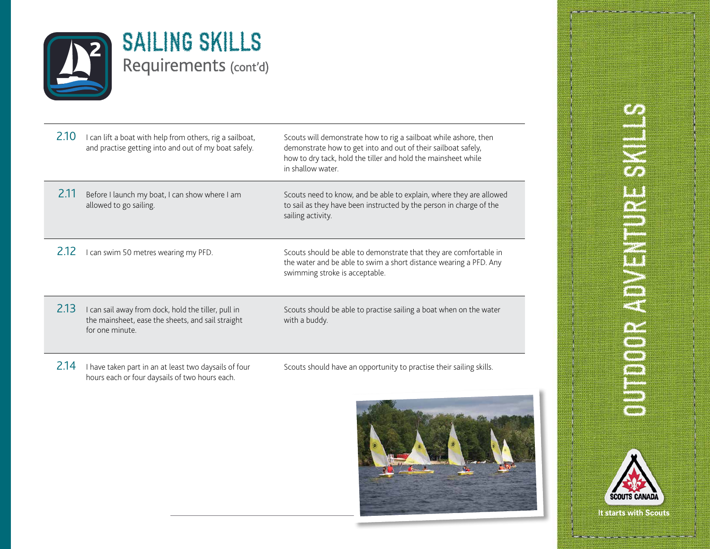

| 2.10 | I can lift a boat with help from others, rig a sailboat,<br>and practise getting into and out of my boat safely.            | Scouts will demonstrate how to rig a sailboat while ashore, then<br>demonstrate how to get into and out of their sailboat safely,<br>how to dry tack, hold the tiller and hold the mainsheet while<br>in shallow water. |
|------|-----------------------------------------------------------------------------------------------------------------------------|-------------------------------------------------------------------------------------------------------------------------------------------------------------------------------------------------------------------------|
| 2.11 | Before I launch my boat, I can show where I am<br>allowed to go sailing.                                                    | Scouts need to know, and be able to explain, where they are allowed<br>to sail as they have been instructed by the person in charge of the<br>sailing activity.                                                         |
| 2.12 | can swim 50 metres wearing my PFD.                                                                                          | Scouts should be able to demonstrate that they are comfortable in<br>the water and be able to swim a short distance wearing a PFD. Any<br>swimming stroke is acceptable.                                                |
| 2.13 | I can sail away from dock, hold the tiller, pull in<br>the mainsheet, ease the sheets, and sail straight<br>for one minute. | Scouts should be able to practise sailing a boat when on the water<br>with a buddy.                                                                                                                                     |
| 2.14 | I have taken part in an at least two daysails of four<br>hours each or four daysails of two hours each.                     | Scouts should have an opportunity to practise their sailing skills.                                                                                                                                                     |



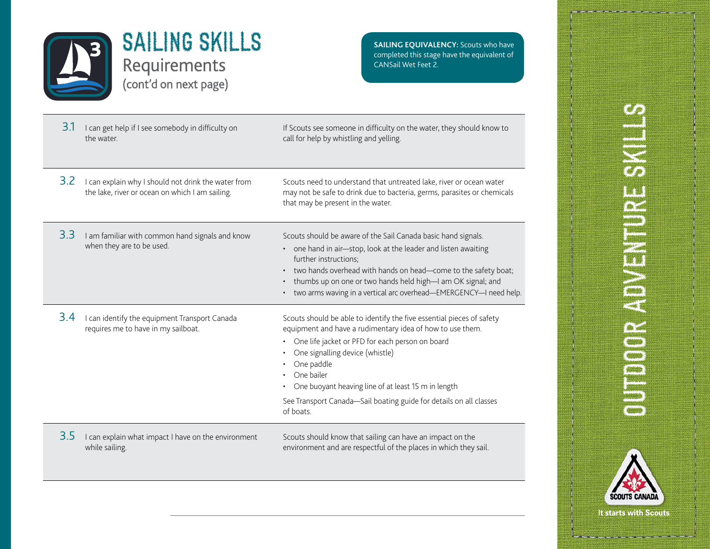

**SAILING EQUIVALENCY:** Scouts who have completed this stage have the equivalent of CANSail Wet Feet 2.

| 3.1 | I can get help if I see somebody in difficulty on<br>the water.                                        | If Scouts see someone in difficulty on the water, they should know to<br>call for help by whistling and yelling.                                                                                                                                                                                                                                                                               |
|-----|--------------------------------------------------------------------------------------------------------|------------------------------------------------------------------------------------------------------------------------------------------------------------------------------------------------------------------------------------------------------------------------------------------------------------------------------------------------------------------------------------------------|
| 3.2 | I can explain why I should not drink the water from<br>the lake, river or ocean on which I am sailing. | Scouts need to understand that untreated lake, river or ocean water<br>may not be safe to drink due to bacteria, germs, parasites or chemicals<br>that may be present in the water.                                                                                                                                                                                                            |
| 3.3 | I am familiar with common hand signals and know<br>when they are to be used.                           | Scouts should be aware of the Sail Canada basic hand signals.<br>one hand in air-stop, look at the leader and listen awaiting<br>further instructions;<br>two hands overhead with hands on head-come to the safety boat;<br>thumbs up on one or two hands held high-I am OK signal; and<br>$\bullet$<br>two arms waving in a vertical arc overhead-EMERGENCY-I need help.                      |
| 3.4 | I can identify the equipment Transport Canada<br>requires me to have in my sailboat.                   | Scouts should be able to identify the five essential pieces of safety<br>equipment and have a rudimentary idea of how to use them.<br>One life jacket or PFD for each person on board<br>One signalling device (whistle)<br>One paddle<br>One bailer<br>One buoyant heaving line of at least 15 m in length<br>See Transport Canada-Sail boating guide for details on all classes<br>of boats. |
| 3.5 | I can explain what impact I have on the environment<br>while sailing.                                  | Scouts should know that sailing can have an impact on the<br>environment and are respectful of the places in which they sail.                                                                                                                                                                                                                                                                  |
|     |                                                                                                        |                                                                                                                                                                                                                                                                                                                                                                                                |

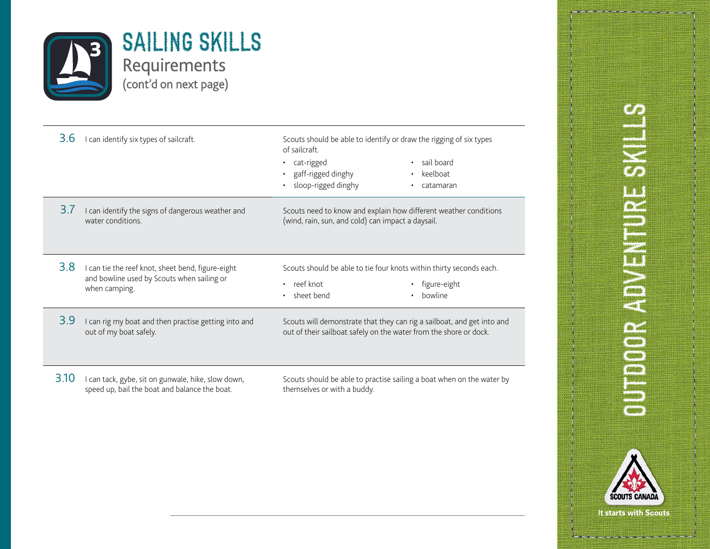

| 3.6  | I can identify six types of sailcraft.                                                                           | Scouts should be able to identify or draw the rigging of six types<br>of sailcraft.<br>sail board<br>• cat-rigged<br>gaff-rigged dinghy<br>keelboat<br>sloop-rigged dinghy<br>catamaran |
|------|------------------------------------------------------------------------------------------------------------------|-----------------------------------------------------------------------------------------------------------------------------------------------------------------------------------------|
| 3.7  | I can identify the signs of dangerous weather and<br>water conditions.                                           | Scouts need to know and explain how different weather conditions<br>(wind, rain, sun, and cold) can impact a daysail.                                                                   |
| 3.8  | I can tie the reef knot, sheet bend, figure-eight<br>and bowline used by Scouts when sailing or<br>when camping. | Scouts should be able to tie four knots within thirty seconds each.<br>reef knot<br>figure-eight<br>$\bullet$<br>sheet bend<br>bowline                                                  |
| 3.9  | I can rig my boat and then practise getting into and<br>out of my boat safely.                                   | Scouts will demonstrate that they can rig a sailboat, and get into and<br>out of their sailboat safely on the water from the shore or dock.                                             |
| 3.10 | I can tack, gybe, sit on gunwale, hike, slow down,<br>speed up, bail the boat and balance the boat.              | Scouts should be able to practise sailing a boat when on the water by<br>themselves or with a buddy.                                                                                    |

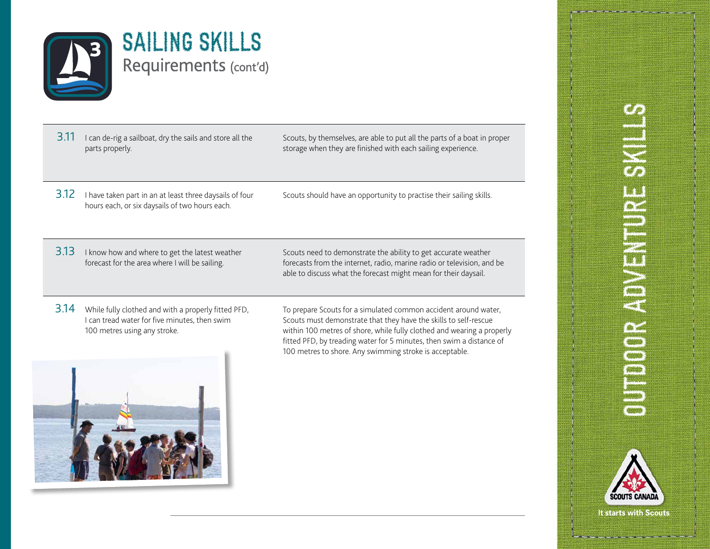

| $3.11$ I can de-rig a sailboat, dry the sails and store all the |
|-----------------------------------------------------------------|
| parts properly.                                                 |

Scouts, by themselves, are able to put all the parts of a boat in proper storage when they are finished with each sailing experience.

- 3.12 I have taken part in an at least three daysails of four hours each, or six daysails of two hours each.
- Scouts should have an opportunity to practise their sailing skills.

3.13 I know how and where to get the latest weather forecast for the area where I will be sailing.

Scouts need to demonstrate the ability to get accurate weather forecasts from the internet, radio, marine radio or television, and be able to discuss what the forecast might mean for their daysail.

3.14 While fully clothed and with a properly fitted PFD, I can tread water for five minutes, then swim 100 metres using any stroke.

To prepare Scouts for a simulated common accident around water, Scouts must demonstrate that they have the skills to self-rescue within 100 metres of shore, while fully clothed and wearing a properly fitted PFD, by treading water for 5 minutes, then swim a distance of 100 metres to shore. Any swimming stroke is acceptable.



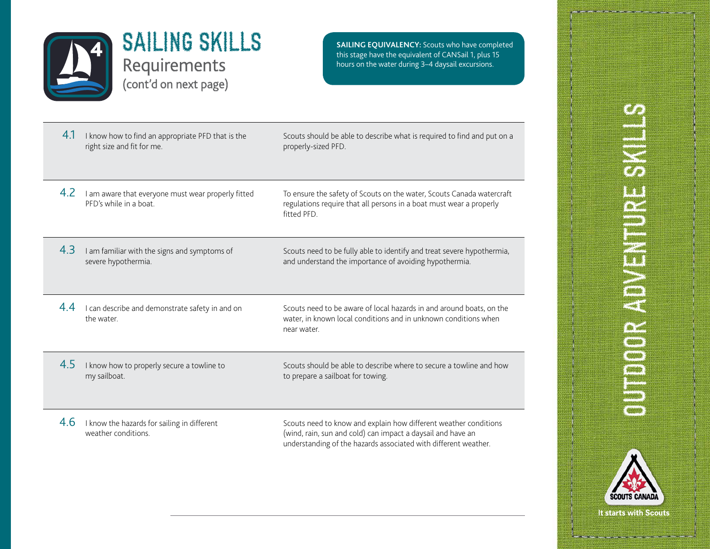

this stage have the equivalent of CANSail 1, plus 15 hours on the water during 3–4 daysail excursions.

| 4.1 | I know how to find an appropriate PFD that is the<br>right size and fit for me. | Scouts should be able to describe what is required to find and put on a<br>properly-sized PFD.                                                                                                     |
|-----|---------------------------------------------------------------------------------|----------------------------------------------------------------------------------------------------------------------------------------------------------------------------------------------------|
| 4.2 | I am aware that everyone must wear properly fitted<br>PFD's while in a boat.    | To ensure the safety of Scouts on the water, Scouts Canada watercraft<br>regulations require that all persons in a boat must wear a properly<br>fitted PFD.                                        |
| 4.3 | I am familiar with the signs and symptoms of<br>severe hypothermia.             | Scouts need to be fully able to identify and treat severe hypothermia,<br>and understand the importance of avoiding hypothermia.                                                                   |
| 4.4 | I can describe and demonstrate safety in and on<br>the water.                   | Scouts need to be aware of local hazards in and around boats, on the<br>water, in known local conditions and in unknown conditions when<br>near water.                                             |
| 4.5 | I know how to properly secure a towline to<br>my sailboat.                      | Scouts should be able to describe where to secure a towline and how<br>to prepare a sailboat for towing.                                                                                           |
| 4.6 | I know the hazards for sailing in different<br>weather conditions.              | Scouts need to know and explain how different weather conditions<br>(wind, rain, sun and cold) can impact a daysail and have an<br>understanding of the hazards associated with different weather. |

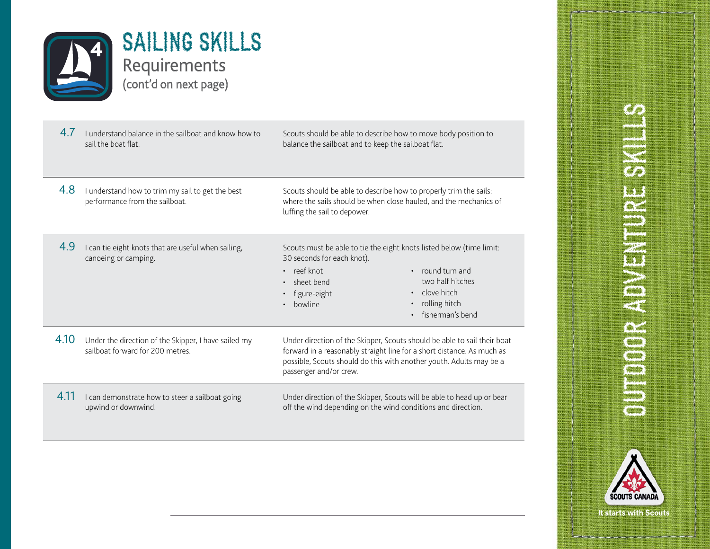

| 4.7  | I understand balance in the sailboat and know how to<br>sail the boat flat               | Scouts should be able to describe how to move body position to<br>balance the sailboat and to keep the sailboat flat.                                                                                                                                                 |
|------|------------------------------------------------------------------------------------------|-----------------------------------------------------------------------------------------------------------------------------------------------------------------------------------------------------------------------------------------------------------------------|
| 4.8  | I understand how to trim my sail to get the best<br>performance from the sailboat.       | Scouts should be able to describe how to properly trim the sails:<br>where the sails should be when close hauled, and the mechanics of<br>luffing the sail to depower.                                                                                                |
| 4.9  | I can tie eight knots that are useful when sailing,<br>canoeing or camping.              | Scouts must be able to tie the eight knots listed below (time limit:<br>30 seconds for each knot).<br>• reef knot<br>• round turn and<br>two half hitches<br>sheet bend<br>• clove hitch<br>figure-eight<br>rolling hitch<br>bowline<br>$\bullet$<br>fisherman's bend |
| 4.10 | Under the direction of the Skipper, I have sailed my<br>sailboat forward for 200 metres. | Under direction of the Skipper, Scouts should be able to sail their boat<br>forward in a reasonably straight line for a short distance. As much as<br>possible, Scouts should do this with another youth. Adults may be a<br>passenger and/or crew.                   |
| 4.11 | I can demonstrate how to steer a sailboat going<br>upwind or downwind.                   | Under direction of the Skipper, Scouts will be able to head up or bear<br>off the wind depending on the wind conditions and direction.                                                                                                                                |

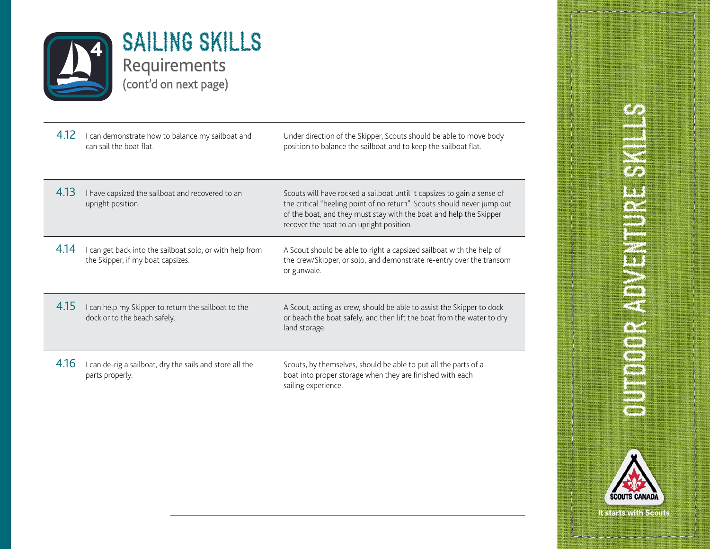

| 4.12 | I can demonstrate how to balance my sailboat and<br>can sail the boat flat.                   | Under direction of the Skipper, Scouts should be able to move body<br>position to balance the sailboat and to keep the sailboat flat.                                                                                                                                |
|------|-----------------------------------------------------------------------------------------------|----------------------------------------------------------------------------------------------------------------------------------------------------------------------------------------------------------------------------------------------------------------------|
| 4.13 | I have capsized the sailboat and recovered to an<br>upright position.                         | Scouts will have rocked a sailboat until it capsizes to gain a sense of<br>the critical "heeling point of no return". Scouts should never jump out<br>of the boat, and they must stay with the boat and help the Skipper<br>recover the boat to an upright position. |
| 4.14 | I can get back into the sailboat solo, or with help from<br>the Skipper, if my boat capsizes. | A Scout should be able to right a capsized sailboat with the help of<br>the crew/Skipper, or solo, and demonstrate re-entry over the transom<br>or gunwale.                                                                                                          |
| 4.15 | I can help my Skipper to return the sailboat to the<br>dock or to the beach safely.           | A Scout, acting as crew, should be able to assist the Skipper to dock<br>or beach the boat safely, and then lift the boat from the water to dry<br>land storage.                                                                                                     |
| 4.16 | I can de-rig a sailboat, dry the sails and store all the<br>parts properly.                   | Scouts, by themselves, should be able to put all the parts of a<br>boat into proper storage when they are finished with each<br>sailing experience.                                                                                                                  |

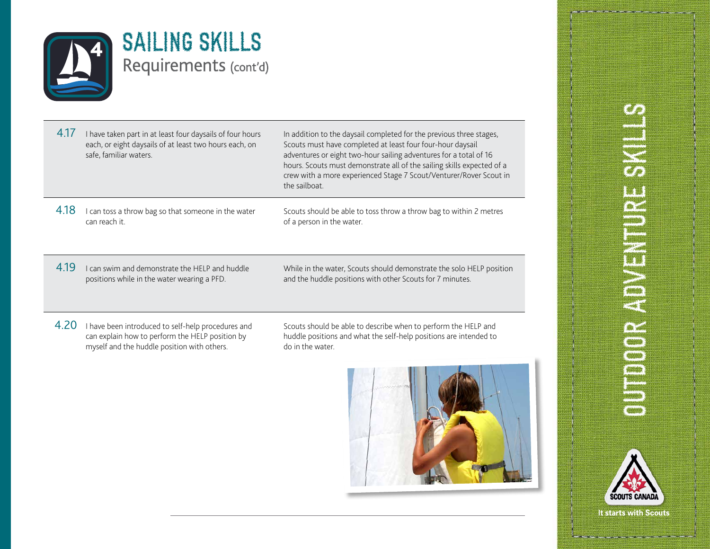

#### $4.17$  I have taken part in at least four daysails of four hours each, or eight daysails of at least two hours each, on safe, familiar waters. In addition to the daysail completed for the previous three stages, Scouts must have completed at least four four-hour daysail adventures or eight two-hour sailing adventures for a total of 16 hours. Scouts must demonstrate all of the sailing skills expected of a crew with a more experienced Stage 7 Scout/Venturer/Rover Scout in the sailboat.

4.18 I can toss a throw bag so that someone in the water can reach it.

Scouts should be able to toss throw a throw bag to within 2 metres of a person in the water.

4.19 I can swim and demonstrate the HELP and huddle positions while in the water wearing a PFD.

While in the water, Scouts should demonstrate the solo HELP position and the huddle positions with other Scouts for 7 minutes.

4.20 I have been introduced to self-help procedures and can explain how to perform the HELP position by myself and the huddle position with others.

Scouts should be able to describe when to perform the HELP and huddle positions and what the self-help positions are intended to do in the water.



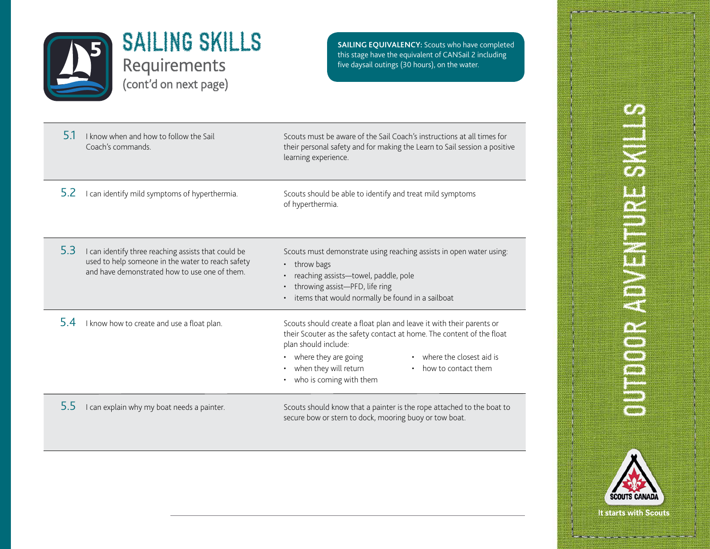

**SAILING EQUIVALENCY:** Scouts who have completed this stage have the equivalent of CANSail 2 including five daysail outings (30 hours), on the water.

| 5.1 | I know when and how to follow the Sail<br>Coach's commands.                                                                                               | Scouts must be aware of the Sail Coach's instructions at all times for<br>their personal safety and for making the Learn to Sail session a positive<br>learning experience.                                                                                                                          |
|-----|-----------------------------------------------------------------------------------------------------------------------------------------------------------|------------------------------------------------------------------------------------------------------------------------------------------------------------------------------------------------------------------------------------------------------------------------------------------------------|
| 5.2 | I can identify mild symptoms of hyperthermia.                                                                                                             | Scouts should be able to identify and treat mild symptoms<br>of hyperthermia.                                                                                                                                                                                                                        |
| 5.3 | I can identify three reaching assists that could be<br>used to help someone in the water to reach safety<br>and have demonstrated how to use one of them. | Scouts must demonstrate using reaching assists in open water using:<br>throw bags<br>reaching assists-towel, paddle, pole<br>throwing assist-PFD, life ring<br>$\bullet$<br>items that would normally be found in a sailboat                                                                         |
| 54  | I know how to create and use a float plan.                                                                                                                | Scouts should create a float plan and leave it with their parents or<br>their Scouter as the safety contact at home. The content of the float<br>plan should include:<br>where they are going<br>where the closest aid is<br>when they will return<br>how to contact them<br>who is coming with them |
| 5.5 | I can explain why my boat needs a painter.                                                                                                                | Scouts should know that a painter is the rope attached to the boat to<br>secure bow or stern to dock, mooring buoy or tow boat.                                                                                                                                                                      |

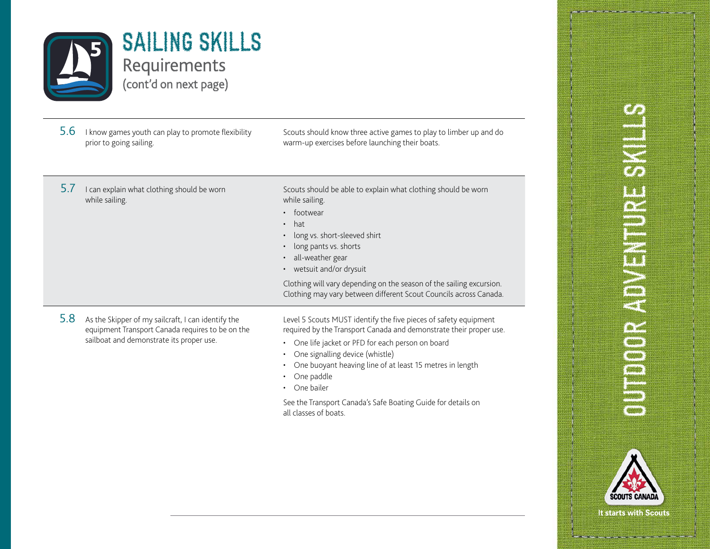

5.6 I know games youth can play to promote flexibility prior to going sailing.

Scouts should know three active games to play to limber up and do warm-up exercises before launching their boats.

 $5.7$  I can explain what clothing should be worn while sailing.

Scouts should be able to explain what clothing should be worn while sailing.

- footwear
- hat
- long vs. short-sleeved shirt
- long pants vs. shorts
- all-weather gear
- wetsuit and/or drysuit

Clothing will vary depending on the season of the sailing excursion. Clothing may vary between different Scout Councils across Canada.

5.8 As the Skipper of my sailcraft, I can identify the equipment Transport Canada requires to be on the sailboat and demonstrate its proper use.

Level 5 Scouts MUST identify the five pieces of safety equipment required by the Transport Canada and demonstrate their proper use.

- One life jacket or PFD for each person on board
- One signalling device (whistle)
- One buoyant heaving line of at least 15 metres in length
- One paddle
- One bailer

See the Transport Canada's Safe Boating Guide for details on all classes of boats.

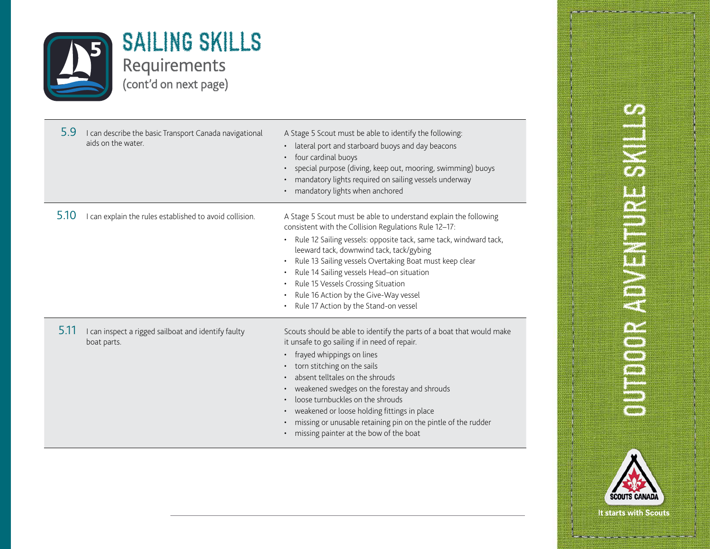

| 5.9  | I can describe the basic Transport Canada navigational<br>aids on the water. | A Stage 5 Scout must be able to identify the following:<br>lateral port and starboard buoys and day beacons<br>four cardinal buoys<br>special purpose (diving, keep out, mooring, swimming) buoys<br>mandatory lights required on sailing vessels underway<br>mandatory lights when anchored                                                                                                                                                                               |
|------|------------------------------------------------------------------------------|----------------------------------------------------------------------------------------------------------------------------------------------------------------------------------------------------------------------------------------------------------------------------------------------------------------------------------------------------------------------------------------------------------------------------------------------------------------------------|
| 5.10 | I can explain the rules established to avoid collision.                      | A Stage 5 Scout must be able to understand explain the following<br>consistent with the Collision Regulations Rule 12-17:<br>Rule 12 Sailing vessels: opposite tack, same tack, windward tack,<br>leeward tack, downwind tack, tack/gybing<br>Rule 13 Sailing vessels Overtaking Boat must keep clear<br>Rule 14 Sailing vessels Head-on situation<br>Rule 15 Vessels Crossing Situation<br>Rule 16 Action by the Give-Way vessel<br>Rule 17 Action by the Stand-on vessel |
| 5.11 | I can inspect a rigged sailboat and identify faulty<br>boat parts.           | Scouts should be able to identify the parts of a boat that would make<br>it unsafe to go sailing if in need of repair.<br>frayed whippings on lines<br>torn stitching on the sails<br>absent telltales on the shrouds<br>weakened swedges on the forestay and shrouds<br>loose turnbuckles on the shrouds<br>weakened or loose holding fittings in place<br>missing or unusable retaining pin on the pintle of the rudder<br>missing painter at the bow of the boat        |

# **SHARE HENERICAL** OUTDOOR ADVENTURE S

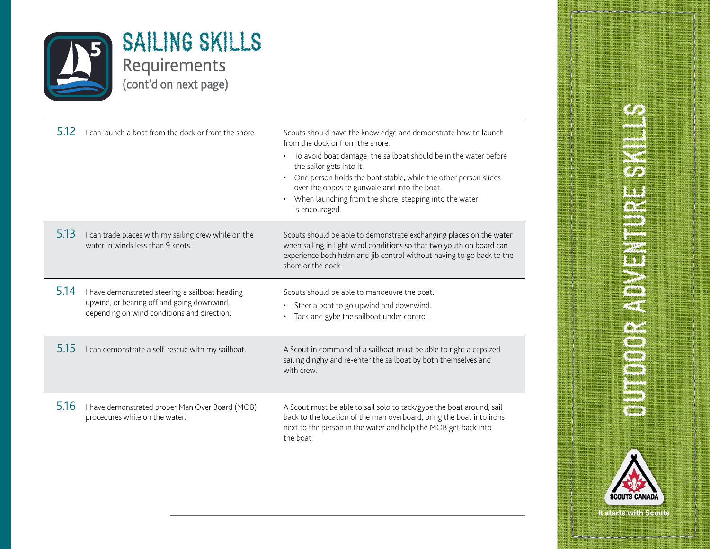

| 5.12 | I can launch a boat from the dock or from the shore.                                                                                         | Scouts should have the knowledge and demonstrate how to launch<br>from the dock or from the shore<br>• To avoid boat damage, the sailboat should be in the water before<br>the sailor gets into it.<br>One person holds the boat stable, while the other person slides<br>over the opposite gunwale and into the boat.<br>When launching from the shore, stepping into the water<br>is encouraged. |
|------|----------------------------------------------------------------------------------------------------------------------------------------------|----------------------------------------------------------------------------------------------------------------------------------------------------------------------------------------------------------------------------------------------------------------------------------------------------------------------------------------------------------------------------------------------------|
| 5.13 | I can trade places with my sailing crew while on the<br>water in winds less than 9 knots.                                                    | Scouts should be able to demonstrate exchanging places on the water<br>when sailing in light wind conditions so that two youth on board can<br>experience both helm and jib control without having to go back to the<br>shore or the dock.                                                                                                                                                         |
| 5.14 | I have demonstrated steering a sailboat heading<br>upwind, or bearing off and going downwind,<br>depending on wind conditions and direction. | Scouts should be able to manoeuvre the boat.<br>Steer a boat to go upwind and downwind.<br>$\bullet$<br>Tack and gybe the sailboat under control.                                                                                                                                                                                                                                                  |
| 5.15 | I can demonstrate a self-rescue with my sailboat.                                                                                            | A Scout in command of a sailboat must be able to right a capsized<br>sailing dinghy and re-enter the sailboat by both themselves and<br>with crew.                                                                                                                                                                                                                                                 |
| 5.16 | I have demonstrated proper Man Over Board (MOB)<br>procedures while on the water.                                                            | A Scout must be able to sail solo to tack/gybe the boat around, sail<br>back to the location of the man overboard, bring the boat into irons<br>next to the person in the water and help the MOB get back into<br>the boat.                                                                                                                                                                        |

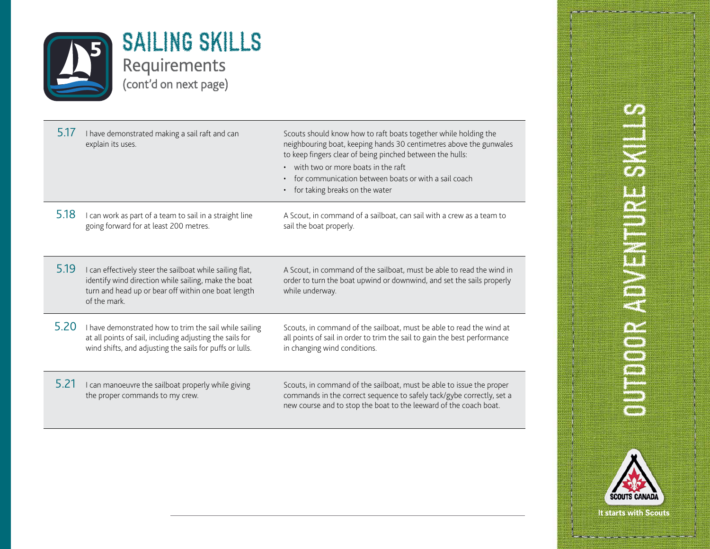

| 5.17 | I have demonstrated making a sail raft and can<br>explain its uses.                                                                                                                     | Scouts should know how to raft boats together while holding the<br>neighbouring boat, keeping hands 30 centimetres above the gunwales<br>to keep fingers clear of being pinched between the hulls:<br>• with two or more boats in the raft<br>for communication between boats or with a sail coach<br>for taking breaks on the water<br>$\bullet$ |
|------|-----------------------------------------------------------------------------------------------------------------------------------------------------------------------------------------|---------------------------------------------------------------------------------------------------------------------------------------------------------------------------------------------------------------------------------------------------------------------------------------------------------------------------------------------------|
| 5.18 | I can work as part of a team to sail in a straight line<br>going forward for at least 200 metres.                                                                                       | A Scout, in command of a sailboat, can sail with a crew as a team to<br>sail the boat properly.                                                                                                                                                                                                                                                   |
| 5.19 | I can effectively steer the sailboat while sailing flat,<br>identify wind direction while sailing, make the boat<br>turn and head up or bear off within one boat length<br>of the mark. | A Scout, in command of the sailboat, must be able to read the wind in<br>order to turn the boat upwind or downwind, and set the sails properly<br>while underway.                                                                                                                                                                                 |
| 5.20 | I have demonstrated how to trim the sail while sailing<br>at all points of sail, including adjusting the sails for<br>wind shifts, and adjusting the sails for puffs or lulls.          | Scouts, in command of the sailboat, must be able to read the wind at<br>all points of sail in order to trim the sail to gain the best performance<br>in changing wind conditions.                                                                                                                                                                 |
| 5.21 | I can manoeuvre the sailboat properly while giving<br>the proper commands to my crew.                                                                                                   | Scouts, in command of the sailboat, must be able to issue the proper<br>commands in the correct sequence to safely tack/gybe correctly, set a<br>new course and to stop the boat to the leeward of the coach boat.                                                                                                                                |

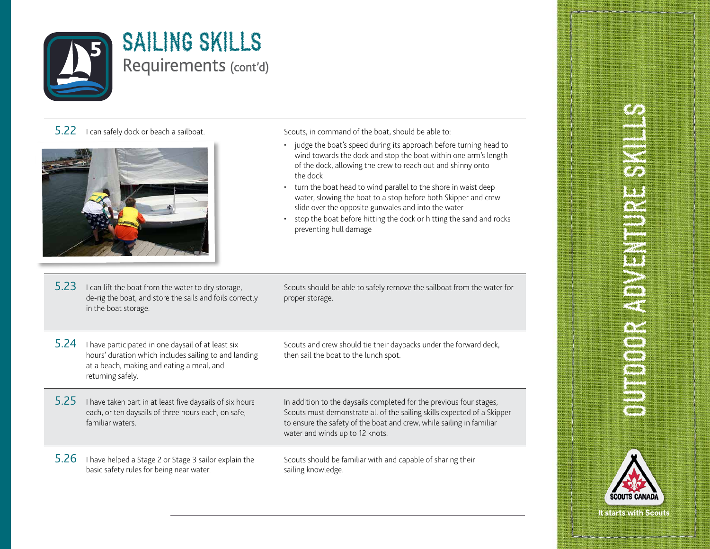

#### 5.22 I can safely dock or beach a sailboat. Scouts, in command of the boat, should be able to:



5.23 I can lift the boat from the water to dry storage, de-rig the boat, and store the sails and foils correctly in the boat storage.

- judge the boat's speed during its approach before turning head to wind towards the dock and stop the boat within one arm's length of the dock, allowing the crew to reach out and shinny onto the dock
- turn the boat head to wind parallel to the shore in waist deep water, slowing the boat to a stop before both Skipper and crew slide over the opposite gunwales and into the water
- stop the boat before hitting the dock or hitting the sand and rocks preventing hull damage

Scouts should be able to safely remove the sailboat from the water for proper storage.

5.24 I have participated in one daysail of at least six hours' duration which includes sailing to and landing at a beach, making and eating a meal, and returning safely.

Scouts and crew should tie their daypacks under the forward deck, then sail the boat to the lunch spot.

5.25 I have taken part in at least five daysails of six hours each, or ten daysails of three hours each, on safe, familiar waters.

In addition to the daysails completed for the previous four stages, Scouts must demonstrate all of the sailing skills expected of a Skipper to ensure the safety of the boat and crew, while sailing in familiar water and winds up to 12 knots.

5.26 I have helped a Stage 2 or Stage 3 sailor explain the basic safety rules for being near water.

Scouts should be familiar with and capable of sharing their sailing knowledge.

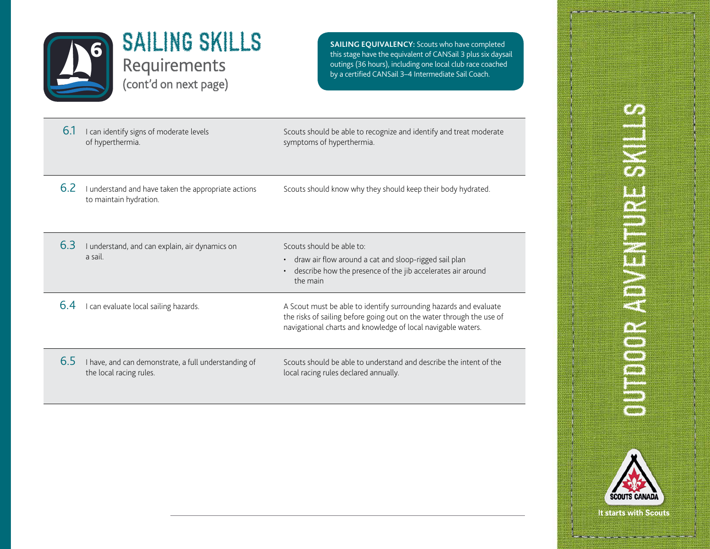

**SAILING EQUIVALENCY:** Scouts who have completed this stage have the equivalent of CANSail 3 plus six daysail outings (36 hours), including one local club race coached by a certified CANSail 3–4 Intermediate Sail Coach.

6.1 I can identify signs of moderate levels of hyperthermia. Scouts should be able to recognize and identify and treat moderate symptoms of hyperthermia. 6.2 I understand and have taken the appropriate actions to maintain hydration. Scouts should know why they should keep their body hydrated. 6.3 I understand, and can explain, air dynamics on a sail. Scouts should be able to: • draw air flow around a cat and sloop-rigged sail plan • describe how the presence of the jib accelerates air around the main 6.4 I can evaluate local sailing hazards. A Scout must be able to identify surrounding hazards and evaluate the risks of sailing before going out on the water through the use of navigational charts and knowledge of local navigable waters. 6.5 I have, and can demonstrate, a full understanding of the local racing rules. Scouts should be able to understand and describe the intent of the local racing rules declared annually.

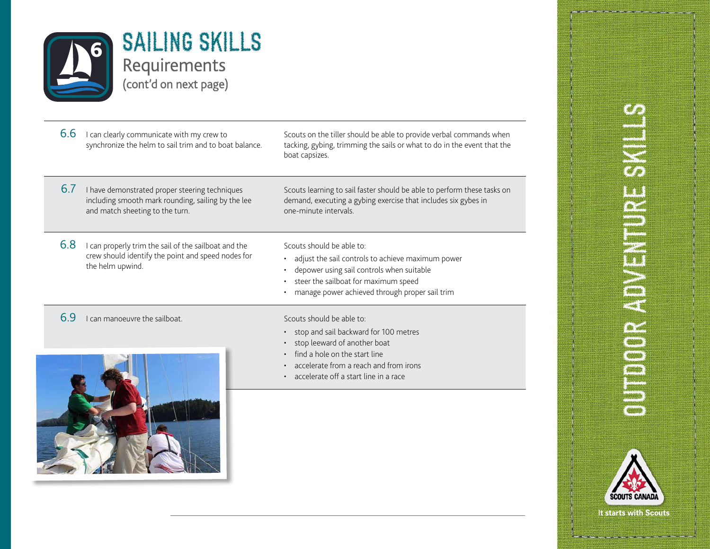

| 6.6 | I can clearly communicate with my crew to<br>synchronize the helm to sail trim and to boat balance.                                     | Scouts on the tiller should be able to provide verbal commands when<br>tacking, gybing, trimming the sails or what to do in the event that the<br>boat capsizes.                                                       |
|-----|-----------------------------------------------------------------------------------------------------------------------------------------|------------------------------------------------------------------------------------------------------------------------------------------------------------------------------------------------------------------------|
| 6.7 | I have demonstrated proper steering techniques<br>including smooth mark rounding, sailing by the lee<br>and match sheeting to the turn. | Scouts learning to sail faster should be able to perform these tasks on<br>demand, executing a gybing exercise that includes six gybes in<br>one-minute intervals.                                                     |
| 6.8 | I can properly trim the sail of the sailboat and the<br>crew should identify the point and speed nodes for<br>the helm upwind.          | Scouts should be able to:<br>adjust the sail controls to achieve maximum power<br>depower using sail controls when suitable<br>steer the sailboat for maximum speed<br>manage power achieved through proper sail trim  |
| 6.9 | can manoeuvre the sailboat.                                                                                                             | Scouts should be able to:<br>stop and sail backward for 100 metres<br>stop leeward of another boat<br>find a hole on the start line<br>accelerate from a reach and from irons<br>accelerate off a start line in a race |
|     |                                                                                                                                         |                                                                                                                                                                                                                        |

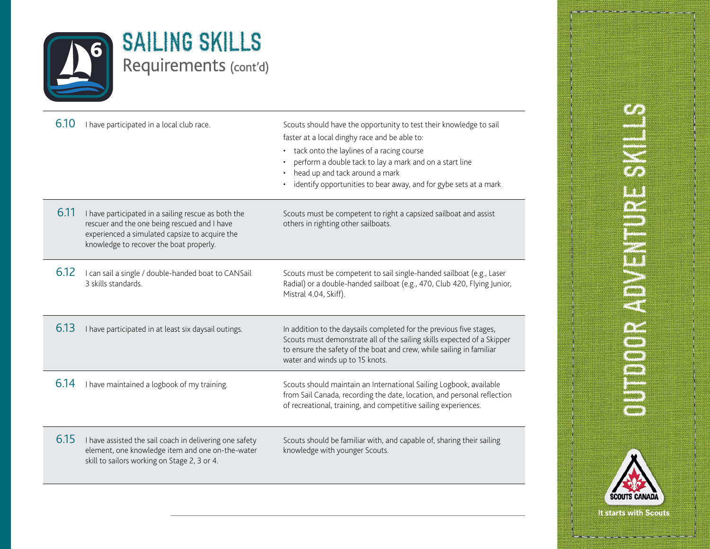

| 6.10 | I have participated in a local club race.                                                                                                                                                        | Scouts should have the opportunity to test their knowledge to sail<br>faster at a local dinghy race and be able to:<br>tack onto the laylines of a racing course<br>$\bullet$<br>perform a double tack to lay a mark and on a start line<br>head up and tack around a mark<br>identify opportunities to bear away, and for gybe sets at a mark |
|------|--------------------------------------------------------------------------------------------------------------------------------------------------------------------------------------------------|------------------------------------------------------------------------------------------------------------------------------------------------------------------------------------------------------------------------------------------------------------------------------------------------------------------------------------------------|
| 6.11 | I have participated in a sailing rescue as both the<br>rescuer and the one being rescued and I have<br>experienced a simulated capsize to acquire the<br>knowledge to recover the boat properly. | Scouts must be competent to right a capsized sailboat and assist<br>others in righting other sailboats.                                                                                                                                                                                                                                        |
| 6.12 | I can sail a single / double-handed boat to CANSail<br>3 skills standards.                                                                                                                       | Scouts must be competent to sail single-handed sailboat (e.g., Laser<br>Radial) or a double-handed sailboat (e.g., 470, Club 420, Flying Junior,<br>Mistral 4.04, Skiff).                                                                                                                                                                      |
| 6.13 | I have participated in at least six daysail outings.                                                                                                                                             | In addition to the daysails completed for the previous five stages,<br>Scouts must demonstrate all of the sailing skills expected of a Skipper<br>to ensure the safety of the boat and crew, while sailing in familiar<br>water and winds up to 15 knots.                                                                                      |
| 6.14 | I have maintained a logbook of my training.                                                                                                                                                      | Scouts should maintain an International Sailing Logbook, available<br>from Sail Canada, recording the date, location, and personal reflection<br>of recreational, training, and competitive sailing experiences.                                                                                                                               |
| 6.15 | I have assisted the sail coach in delivering one safety<br>element, one knowledge item and one on-the-water<br>skill to sailors working on Stage 2, 3 or 4.                                      | Scouts should be familiar with, and capable of, sharing their sailing<br>knowledge with younger Scouts.                                                                                                                                                                                                                                        |
|      |                                                                                                                                                                                                  |                                                                                                                                                                                                                                                                                                                                                |

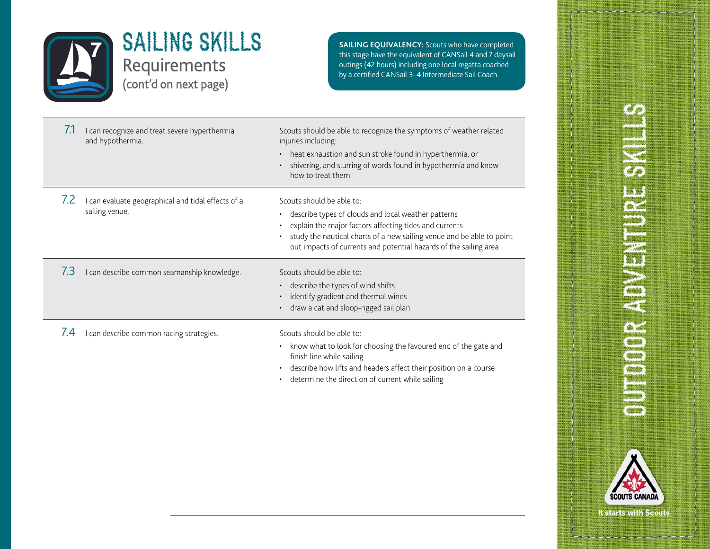

this stage have the equivalent of CANSail 4 and 7 daysail outings (42 hours) including one local regatta coached by a certified CANSail 3–4 Intermediate Sail Coach.

| 7.1         | I can recognize and treat severe hyperthermia<br>and hypothermia.    | Scouts should be able to recognize the symptoms of weather related<br>injuries including:<br>heat exhaustion and sun stroke found in hyperthermia, or<br>$\bullet$<br>shivering, and slurring of words found in hypothermia and know<br>how to treat them.                                            |
|-------------|----------------------------------------------------------------------|-------------------------------------------------------------------------------------------------------------------------------------------------------------------------------------------------------------------------------------------------------------------------------------------------------|
| $\sqrt{.2}$ | I can evaluate geographical and tidal effects of a<br>sailing venue. | Scouts should be able to:<br>describe types of clouds and local weather patterns<br>$\bullet$<br>explain the major factors affecting tides and currents<br>study the nautical charts of a new sailing venue and be able to point<br>out impacts of currents and potential hazards of the sailing area |
| 7.3         | I can describe common seamanship knowledge.                          | Scouts should be able to:<br>describe the types of wind shifts<br>identify gradient and thermal winds<br>draw a cat and sloop-rigged sail plan                                                                                                                                                        |
| $\sqrt{4}$  | I can describe common racing strategies.                             | Scouts should be able to:<br>know what to look for choosing the favoured end of the gate and<br>$\bullet$<br>finish line while sailing<br>describe how lifts and headers affect their position on a course<br>determine the direction of current while sailing                                        |

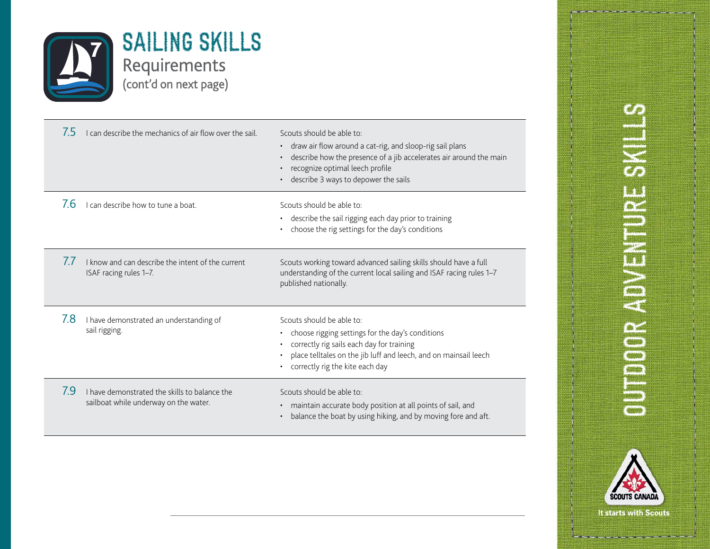

| 7.5       | I can describe the mechanics of air flow over the sail.                                | Scouts should be able to:<br>draw air flow around a cat-rig, and sloop-rig sail plans<br>$\bullet$<br>describe how the presence of a jib accelerates air around the main<br>$\bullet$<br>recognize optimal leech profile<br>$\bullet$<br>describe 3 ways to depower the sails |
|-----------|----------------------------------------------------------------------------------------|-------------------------------------------------------------------------------------------------------------------------------------------------------------------------------------------------------------------------------------------------------------------------------|
| 7.6       | can describe how to tune a boat.                                                       | Scouts should be able to:<br>describe the sail rigging each day prior to training<br>$\bullet$<br>choose the rig settings for the day's conditions                                                                                                                            |
| $\iota$ . | I know and can describe the intent of the current<br>ISAF racing rules 1–7.            | Scouts working toward advanced sailing skills should have a full<br>understanding of the current local sailing and ISAF racing rules 1-7<br>published nationally.                                                                                                             |
| 7.8       | I have demonstrated an understanding of<br>sail rigging.                               | Scouts should be able to:<br>choose rigging settings for the day's conditions<br>٠<br>correctly rig sails each day for training<br>place telltales on the jib luff and leech, and on mainsail leech<br>$\bullet$<br>correctly rig the kite each day                           |
| 7.9       | I have demonstrated the skills to balance the<br>sailboat while underway on the water. | Scouts should be able to:<br>maintain accurate body position at all points of sail, and<br>$\bullet$<br>balance the boat by using hiking, and by moving fore and aft.<br>$\bullet$                                                                                            |

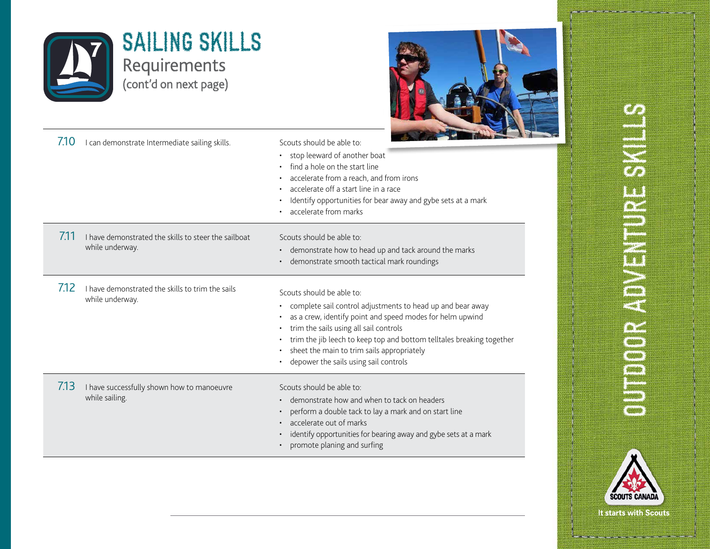

SCOUTS CAN It starts with Scouts.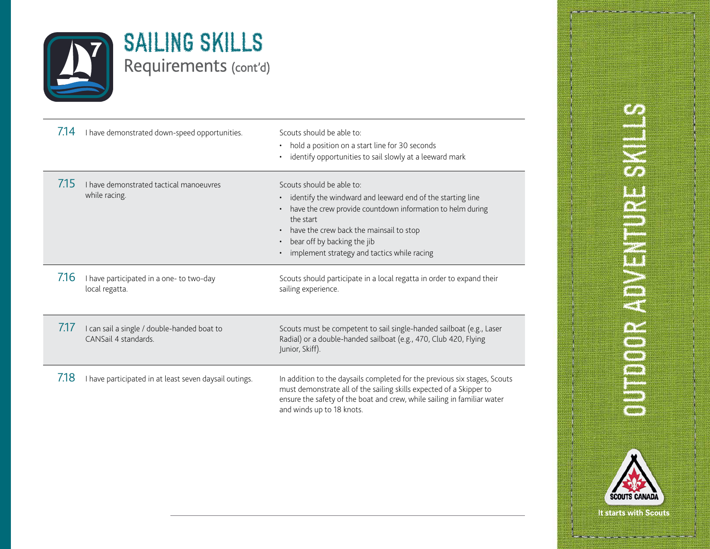

| 7.14 | I have demonstrated down-speed opportunities.                       | Scouts should be able to:<br>hold a position on a start line for 30 seconds<br>identify opportunities to sail slowly at a leeward mark                                                                                                                                                                   |
|------|---------------------------------------------------------------------|----------------------------------------------------------------------------------------------------------------------------------------------------------------------------------------------------------------------------------------------------------------------------------------------------------|
| 7.15 | I have demonstrated tactical manoeuvres<br>while racing.            | Scouts should be able to:<br>identify the windward and leeward end of the starting line<br>$\bullet$<br>have the crew provide countdown information to helm during<br>the start<br>have the crew back the mainsail to stop<br>bear off by backing the jib<br>implement strategy and tactics while racing |
| 7.16 | I have participated in a one- to two-day<br>local regatta.          | Scouts should participate in a local regatta in order to expand their<br>sailing experience.                                                                                                                                                                                                             |
| 7.17 | I can sail a single / double-handed boat to<br>CANSail 4 standards. | Scouts must be competent to sail single-handed sailboat (e.g., Laser<br>Radial) or a double-handed sailboat (e.g., 470, Club 420, Flying<br>Junior, Skiff).                                                                                                                                              |
| 7.18 | I have participated in at least seven daysail outings.              | In addition to the daysails completed for the previous six stages, Scouts<br>must demonstrate all of the sailing skills expected of a Skipper to<br>ensure the safety of the boat and crew, while sailing in familiar water<br>and winds up to 18 knots.                                                 |

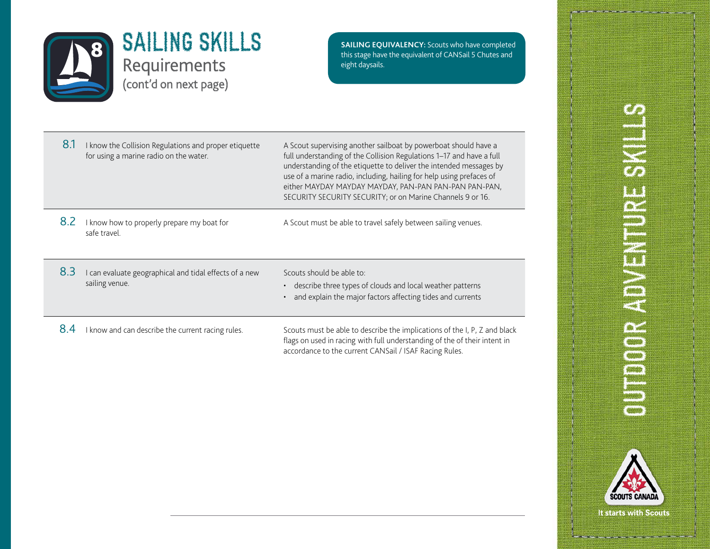

**SAILING EQUIVALENCY:** Scouts who have completed this stage have the equivalent of CANSail 5 Chutes and eight daysails.

| 8.1 | I know the Collision Regulations and proper etiquette<br>for using a marine radio on the water. | A Scout supervising another sailboat by powerboat should have a<br>full understanding of the Collision Regulations 1-17 and have a full<br>understanding of the etiquette to deliver the intended messages by<br>use of a marine radio, including, hailing for help using prefaces of<br>either MAYDAY MAYDAY MAYDAY, PAN-PAN PAN-PAN PAN-PAN,<br>SECURITY SECURITY SECURITY; or on Marine Channels 9 or 16. |
|-----|-------------------------------------------------------------------------------------------------|--------------------------------------------------------------------------------------------------------------------------------------------------------------------------------------------------------------------------------------------------------------------------------------------------------------------------------------------------------------------------------------------------------------|
| 8.2 | I know how to properly prepare my boat for<br>safe travel.                                      | A Scout must be able to travel safely between sailing venues.                                                                                                                                                                                                                                                                                                                                                |
| 8.3 | I can evaluate geographical and tidal effects of a new<br>sailing venue.                        | Scouts should be able to:<br>describe three types of clouds and local weather patterns<br>$\bullet$<br>and explain the major factors affecting tides and currents<br>$\bullet$                                                                                                                                                                                                                               |
| 8.4 | I know and can describe the current racing rules.                                               | Scouts must be able to describe the implications of the I, P, Z and black<br>flags on used in racing with full understanding of the of their intent in                                                                                                                                                                                                                                                       |

accordance to the current CANSail / ISAF Racing Rules.

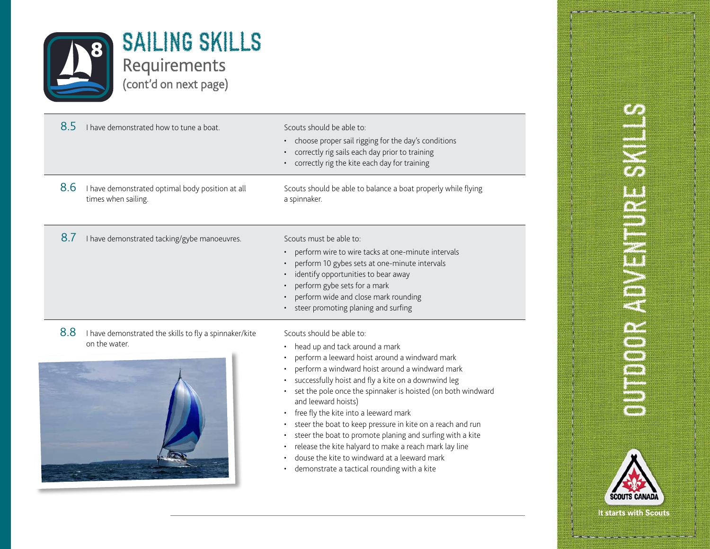

| 8.5 | I have demonstrated how to tune a boat.                                 | Scouts should be able to:<br>choose proper sail rigging for the day's conditions<br>correctly rig sails each day prior to training<br>correctly rig the kite each day for training                                                                                                                                                                                                                                                                                                                                                                                                                                                          |
|-----|-------------------------------------------------------------------------|---------------------------------------------------------------------------------------------------------------------------------------------------------------------------------------------------------------------------------------------------------------------------------------------------------------------------------------------------------------------------------------------------------------------------------------------------------------------------------------------------------------------------------------------------------------------------------------------------------------------------------------------|
| 8.6 | I have demonstrated optimal body position at all<br>times when sailing. | Scouts should be able to balance a boat properly while flying<br>a spinnaker.                                                                                                                                                                                                                                                                                                                                                                                                                                                                                                                                                               |
| 8.7 | I have demonstrated tacking/gybe manoeuvres.                            | Scouts must be able to:<br>perform wire to wire tacks at one-minute intervals<br>perform 10 gybes sets at one-minute intervals<br>identify opportunities to bear away<br>perform gybe sets for a mark<br>perform wide and close mark rounding<br>steer promoting planing and surfing                                                                                                                                                                                                                                                                                                                                                        |
| 8.8 | I have demonstrated the skills to fly a spinnaker/kite<br>on the water. | Scouts should be able to:<br>head up and tack around a mark<br>perform a leeward hoist around a windward mark<br>perform a windward hoist around a windward mark<br>successfully hoist and fly a kite on a downwind leg<br>set the pole once the spinnaker is hoisted (on both windward<br>and leeward hoists)<br>free fly the kite into a leeward mark<br>steer the boat to keep pressure in kite on a reach and run<br>steer the boat to promote planing and surfing with a kite<br>release the kite halyard to make a reach mark lay line<br>douse the kite to windward at a leeward mark<br>demonstrate a tactical rounding with a kite |

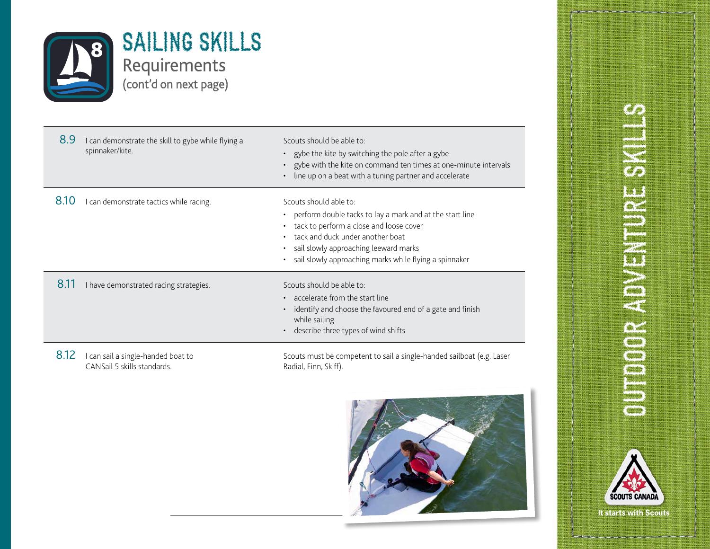

| 8.9  | I can demonstrate the skill to gybe while flying a<br>spinnaker/kite. | Scouts should be able to:<br>• gybe the kite by switching the pole after a gybe<br>• gybe with the kite on command ten times at one-minute intervals<br>line up on a beat with a tuning partner and accelerate                                                         |
|------|-----------------------------------------------------------------------|------------------------------------------------------------------------------------------------------------------------------------------------------------------------------------------------------------------------------------------------------------------------|
| 8.10 | I can demonstrate tactics while racing.                               | Scouts should able to:<br>• perform double tacks to lay a mark and at the start line<br>tack to perform a close and loose cover<br>tack and duck under another boat<br>sail slowly approaching leeward marks<br>sail slowly approaching marks while flying a spinnaker |
| 8.11 | I have demonstrated racing strategies.                                | Scouts should be able to:<br>• accelerate from the start line<br>identify and choose the favoured end of a gate and finish<br>while sailing<br>describe three types of wind shifts                                                                                     |
| 8.12 | I can sail a single-handed boat to<br>CANSail 5 skills standards.     | Scouts must be competent to sail a single-handed sailboat (e.g. Laser<br>Radial, Finn, Skiff).                                                                                                                                                                         |





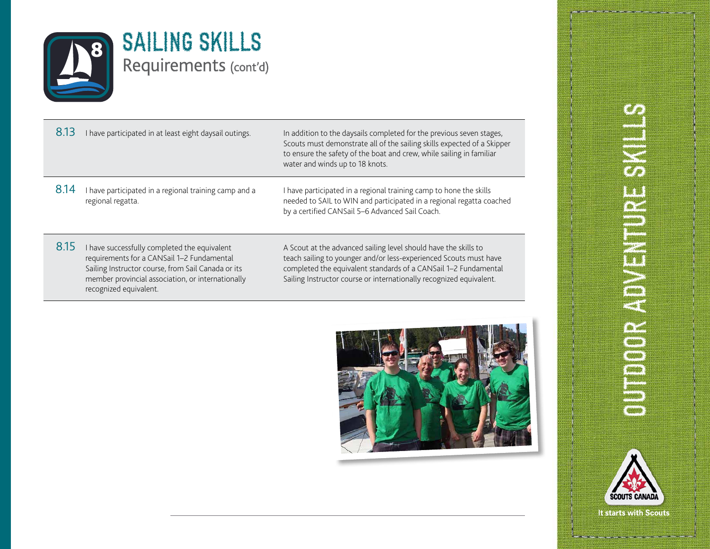

| 8.13 | I have participated in at least eight daysail outings.                     | In addition to the daysails completed for the previous seven stages,<br>Scouts must demonstrate all of the sailing skills expected of a Skipper<br>to ensure the safety of the boat and crew, while sailing in familiar<br>water and winds up to 18 knots. |
|------|----------------------------------------------------------------------------|------------------------------------------------------------------------------------------------------------------------------------------------------------------------------------------------------------------------------------------------------------|
| 8.14 | I have participated in a regional training camp and a<br>regional regatta. | I have participated in a regional training camp to hone the skills<br>needed to SAIL to WIN and participated in a regional regatta coached<br>by a certified CANSail 5-6 Advanced Sail Coach.                                                              |
|      |                                                                            |                                                                                                                                                                                                                                                            |

8.15 I have successfully completed the equivalent requirements for a CANSail 1–2 Fundamental Sailing Instructor course, from Sail Canada or its member provincial association, or internationally recognized equivalent.

A Scout at the advanced sailing level should have the skills to teach sailing to younger and/or less-experienced Scouts must have completed the equivalent standards of a CANSail 1–2 Fundamental Sailing Instructor course or internationally recognized equivalent.



# **CHANGE CONSTRAINER** OUTDOOR ADVENTURE S

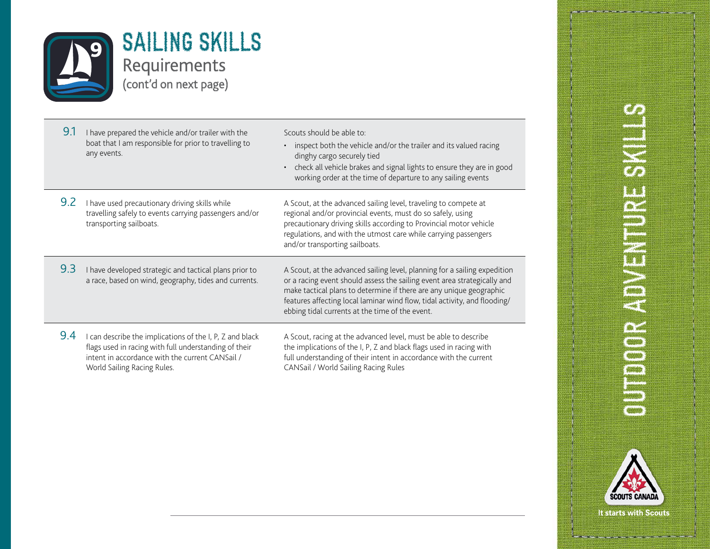

| 9.1 | I have prepared the vehicle and/or trailer with the<br>boat that I am responsible for prior to travelling to<br>any events.                                                                       | Scouts should be able to:<br>inspect both the vehicle and/or the trailer and its valued racing<br>$\bullet$<br>dinghy cargo securely tied<br>check all vehicle brakes and signal lights to ensure they are in good<br>$\bullet$<br>working order at the time of departure to any sailing events                                                              |
|-----|---------------------------------------------------------------------------------------------------------------------------------------------------------------------------------------------------|--------------------------------------------------------------------------------------------------------------------------------------------------------------------------------------------------------------------------------------------------------------------------------------------------------------------------------------------------------------|
| 9.2 | I have used precautionary driving skills while<br>travelling safely to events carrying passengers and/or<br>transporting sailboats.                                                               | A Scout, at the advanced sailing level, traveling to compete at<br>regional and/or provincial events, must do so safely, using<br>precautionary driving skills according to Provincial motor vehicle<br>regulations, and with the utmost care while carrying passengers<br>and/or transporting sailboats.                                                    |
| 9.3 | I have developed strategic and tactical plans prior to<br>a race, based on wind, geography, tides and currents.                                                                                   | A Scout, at the advanced sailing level, planning for a sailing expedition<br>or a racing event should assess the sailing event area strategically and<br>make tactical plans to determine if there are any unique geographic<br>features affecting local laminar wind flow, tidal activity, and flooding/<br>ebbing tidal currents at the time of the event. |
| 9.4 | can describe the implications of the I, P, Z and black<br>flags used in racing with full understanding of their<br>intent in accordance with the current CANSail /<br>World Sailing Racing Rules. | A Scout, racing at the advanced level, must be able to describe<br>the implications of the I, P, Z and black flags used in racing with<br>full understanding of their intent in accordance with the current<br>CANSail / World Sailing Racing Rules                                                                                                          |

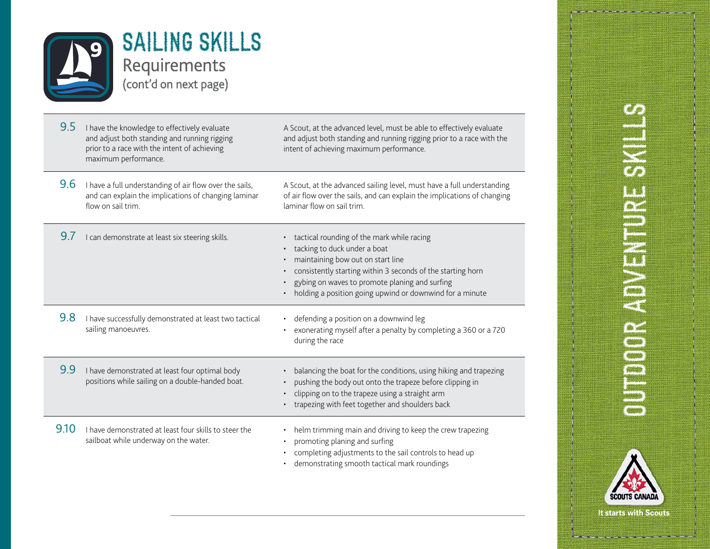

| 9.5  | I have the knowledge to effectively evaluate<br>and adjust both standing and running rigging<br>prior to a race with the intent of achieving<br>maximum performance. | A Scout, at the advanced level, must be able to effectively evaluate<br>and adjust both standing and running rigging prior to a race with the<br>intent of achieving maximum performance.                                                                                                    |
|------|----------------------------------------------------------------------------------------------------------------------------------------------------------------------|----------------------------------------------------------------------------------------------------------------------------------------------------------------------------------------------------------------------------------------------------------------------------------------------|
| 9.6  | I have a full understanding of air flow over the sails,<br>and can explain the implications of changing laminar<br>flow on sail trim.                                | A Scout, at the advanced sailing level, must have a full understanding<br>of air flow over the sails, and can explain the implications of changing<br>laminar flow on sail trim.                                                                                                             |
| 9.7  | I can demonstrate at least six steering skills.                                                                                                                      | tactical rounding of the mark while racing<br>tacking to duck under a boat<br>maintaining bow out on start line<br>consistently starting within 3 seconds of the starting horn<br>gybing on waves to promote planing and surfing<br>holding a position going upwind or downwind for a minute |
| 9.8  | I have successfully demonstrated at least two tactical<br>sailing manoeuvres.                                                                                        | defending a position on a downwind leg<br>exonerating myself after a penalty by completing a 360 or a 720<br>during the race                                                                                                                                                                 |
| 9.9  | I have demonstrated at least four optimal body<br>positions while sailing on a double-handed boat.                                                                   | balancing the boat for the conditions, using hiking and trapezing<br>pushing the body out onto the trapeze before clipping in<br>clipping on to the trapeze using a straight arm<br>trapezing with feet together and shoulders back                                                          |
| 9.10 | I have demonstrated at least four skills to steer the<br>sailboat while underway on the water.                                                                       | helm trimming main and driving to keep the crew trapezing<br>promoting planing and surfing<br>completing adjustments to the sail controls to head up<br>demonstrating smooth tactical mark roundings                                                                                         |